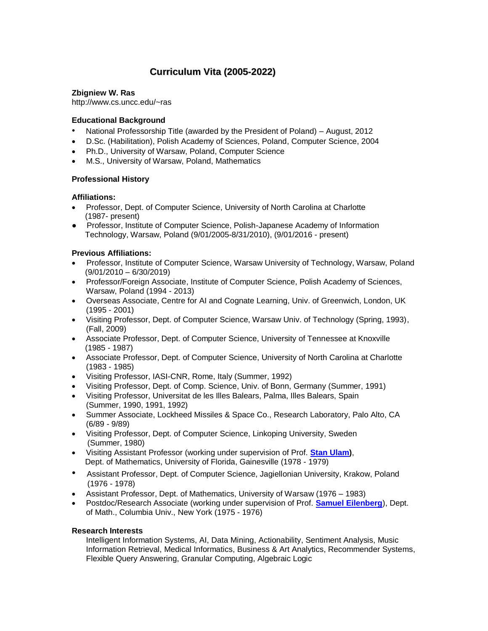# **Curriculum Vita (2005-2022)**

# **Zbigniew W. Ras**

http://www.cs.uncc.edu/~ras

# **Educational Background**

- National Professorship Title (awarded by the President of Poland) August, 2012
- D.Sc. (Habilitation), Polish Academy of Sciences, Poland, Computer Science, 2004
- Ph.D., University of Warsaw, Poland, Computer Science
- M.S., University of Warsaw, Poland, Mathematics

# **Professional History**

# **Affiliations:**

- Professor, Dept. of Computer Science, University of North Carolina at Charlotte (1987- present)
- Professor, Institute of Computer Science, Polish-Japanese Academy of Information Technology, Warsaw, Poland (9/01/2005-8/31/2010), (9/01/2016 - present)

# **Previous Affiliations:**

- Professor, Institute of Computer Science, Warsaw University of Technology, Warsaw, Poland (9/01/2010 – 6/30/2019)
- Professor/Foreign Associate, Institute of Computer Science, Polish Academy of Sciences, Warsaw, Poland (1994 - 2013)
- Overseas Associate, Centre for AI and Cognate Learning, Univ. of Greenwich, London, UK (1995 - 2001)
- Visiting Professor, Dept. of Computer Science, Warsaw Univ. of Technology (Spring, 1993), (Fall, 2009)
- Associate Professor, Dept. of Computer Science, University of Tennessee at Knoxville (1985 - 1987)
- Associate Professor, Dept. of Computer Science, University of North Carolina at Charlotte (1983 - 1985)
- Visiting Professor, IASI-CNR, Rome, Italy (Summer, 1992)
- Visiting Professor, Dept. of Comp. Science, Univ. of Bonn, Germany (Summer, 1991)
- Visiting Professor, Universitat de les Illes Balears, Palma, Illes Balears, Spain (Summer, 1990, 1991, 1992)
- Summer Associate, Lockheed Missiles & Space Co., Research Laboratory, Palo Alto, CA (6/89 - 9/89)
- Visiting Professor, Dept. of Computer Science, Linkoping University, Sweden (Summer, 1980)
- Visiting Assistant Professor (working under supervision of Prof. **[Stan Ulam\)](https://en.wikipedia.org/wiki/Stanislaw_Ulam)**, Dept. of Mathematics, University of Florida, Gainesville (1978 - 1979)
- Assistant Professor, Dept. of Computer Science, Jagiellonian University, Krakow, Poland (1976 - 1978)
- Assistant Professor, Dept. of Mathematics, University of Warsaw (1976 1983)
- Postdoc/Research Associate (working under supervision of Prof. **[Samuel Eilenberg](https://en.wikipedia.org/wiki/Samuel_Eilenberg)**), Dept. of Math., Columbia Univ., New York (1975 - 1976)

## **Research Interests**

Intelligent Information Systems, AI, Data Mining, Actionability, Sentiment Analysis, Music Information Retrieval, Medical Informatics, Business & Art Analytics, Recommender Systems, Flexible Query Answering, Granular Computing, Algebraic Logic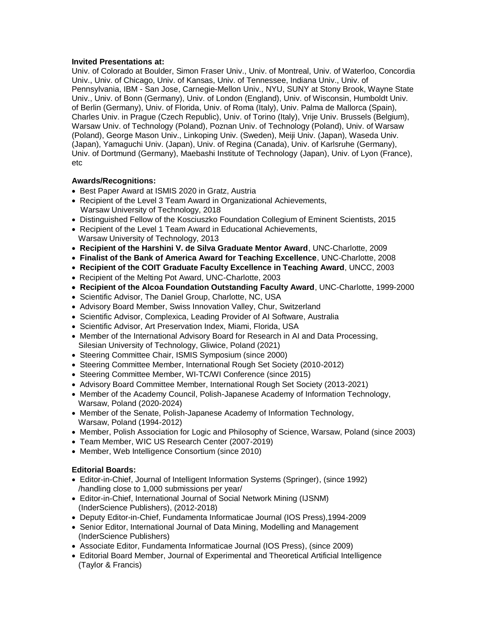# **Invited Presentations at:**

Univ. of Colorado at Boulder, Simon Fraser Univ., Univ. of Montreal, Univ. of Waterloo, Concordia Univ., Univ. of Chicago, Univ. of Kansas, Univ. of Tennessee, Indiana Univ., Univ. of Pennsylvania, IBM - San Jose, Carnegie-Mellon Univ., NYU, SUNY at Stony Brook, Wayne State Univ., Univ. of Bonn (Germany), Univ. of London (England), Univ. of Wisconsin, Humboldt Univ. of Berlin (Germany), Univ. of Florida, Univ. of Roma (Italy), Univ. Palma de Mallorca (Spain), Charles Univ. in Prague (Czech Republic), Univ. of Torino (Italy), Vrije Univ. Brussels (Belgium), Warsaw Univ. of Technology (Poland), Poznan Univ. of Technology (Poland), Univ. of Warsaw (Poland), George Mason Univ., Linkoping Univ. (Sweden), Meiji Univ. (Japan), Waseda Univ. (Japan), Yamaguchi Univ. (Japan), Univ. of Regina (Canada), Univ. of Karlsruhe (Germany), Univ. of Dortmund (Germany), Maebashi Institute of Technology (Japan), Univ. of Lyon (France), etc

# **Awards/Recognitions:**

- Best Paper Award at ISMIS 2020 in Gratz, Austria
- Recipient of the Level 3 Team Award in Organizational Achievements, Warsaw University of Technology, 2018
- Distinguished Fellow of the Kosciuszko Foundation Collegium of Eminent Scientists, 2015
- Recipient of the Level 1 Team Award in Educational Achievements, Warsaw University of Technology, 2013
- **Recipient of the Harshini V. de Silva Graduate Mentor Award**, UNC-Charlotte, 2009
- **Finalist of the Bank of America Award for Teaching Excellence**, UNC-Charlotte, 2008
- **Recipient of the COIT Graduate Faculty Excellence in Teaching Award**, UNCC, 2003
- Recipient of the Melting Pot Award, UNC-Charlotte, 2003
- **Recipient of the Alcoa Foundation Outstanding Faculty Award**, UNC-Charlotte, 1999-2000
- Scientific Advisor, The Daniel Group, Charlotte, NC, USA
- Advisory Board Member, Swiss Innovation Valley, Chur, Switzerland
- Scientific Advisor, Complexica, Leading Provider of AI Software, Australia
- Scientific Advisor, Art Preservation Index, Miami, Florida, USA
- Member of the International Advisory Board for Research in AI and Data Processing, Silesian University of Technology, Gliwice, Poland (2021)
- Steering Committee Chair, ISMIS Symposium (since 2000)
- Steering Committee Member, International Rough Set Society (2010-2012)
- Steering Committee Member, WI-TC/WI Conference (since 2015)
- Advisory Board Committee Member, International Rough Set Society (2013-2021)
- Member of the Academy Council, Polish-Japanese Academy of Information Technology, Warsaw, Poland (2020-2024)
- Member of the Senate, Polish-Japanese Academy of Information Technology, Warsaw, Poland (1994-2012)
- Member, Polish Association for Logic and Philosophy of Science, Warsaw, Poland (since 2003)
- Team Member, WIC US Research Center (2007-2019)
- Member, Web Intelligence Consortium (since 2010)

# **Editorial Boards:**

- Editor-in-Chief, Journal of Intelligent Information Systems (Springer), (since 1992) /handling close to 1,000 submissions per year/
- Editor-in-Chief, International Journal of Social Network Mining (IJSNM) (InderScience Publishers), (2012-2018)
- Deputy Editor-in-Chief, Fundamenta Informaticae Journal (IOS Press),1994-2009
- Senior Editor, International Journal of Data Mining, Modelling and Management (InderScience Publishers)
- Associate Editor, Fundamenta Informaticae Journal (IOS Press), (since 2009)
- Editorial Board Member, Journal of Experimental and Theoretical Artificial Intelligence (Taylor & Francis)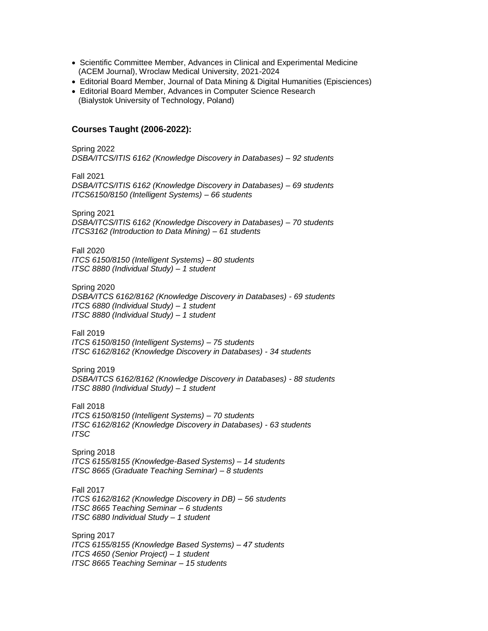- Scientific Committee Member, Advances in Clinical and Experimental Medicine (ACEM Journal), Wroclaw Medical University, 2021-2024
- Editorial Board Member, Journal of Data Mining & Digital Humanities (Episciences)
- Editorial Board Member, Advances in Computer Science Research (Bialystok University of Technology, Poland)

# **Courses Taught (2006-2022):**

Spring 2022 *DSBA/ITCS/ITIS 6162 (Knowledge Discovery in Databases) – 92 students*

Fall 2021

*DSBA/ITCS/ITIS 6162 (Knowledge Discovery in Databases) – 69 students ITCS6150/8150 (Intelligent Systems) – 66 students*

Spring 2021

*DSBA/ITCS/ITIS 6162 (Knowledge Discovery in Databases) – 70 students ITCS3162 (Introduction to Data Mining) – 61 students*

Fall 2020

*ITCS 6150/8150 (Intelligent Systems) – 80 students ITSC 8880 (Individual Study) – 1 student*

Spring 2020

*DSBA/ITCS 6162/8162 (Knowledge Discovery in Databases) - 69 students ITCS 6880 (Individual Study) – 1 student ITSC 8880 (Individual Study) – 1 student*

Fall 2019

*ITCS 6150/8150 (Intelligent Systems) – 75 students ITSC 6162/8162 (Knowledge Discovery in Databases) - 34 students*

Spring 2019

*DSBA/ITCS 6162/8162 (Knowledge Discovery in Databases) - 88 students ITSC 8880 (Individual Study) – 1 student*

Fall 2018 *ITCS 6150/8150 (Intelligent Systems) – 70 students ITSC 6162/8162 (Knowledge Discovery in Databases) - 63 students ITSC*

Spring 2018 *ITCS 6155/8155 (Knowledge-Based Systems) – 14 students ITSC 8665 (Graduate Teaching Seminar) – 8 students*

Fall 2017 *ITCS 6162/8162 (Knowledge Discovery in DB) – 56 students ITSC 8665 Teaching Seminar – 6 students ITSC 6880 Individual Study – 1 student*

Spring 2017 *ITCS 6155/8155 (Knowledge Based Systems) – 47 students ITCS 4650 (Senior Project) – 1 student ITSC 8665 Teaching Seminar – 15 students*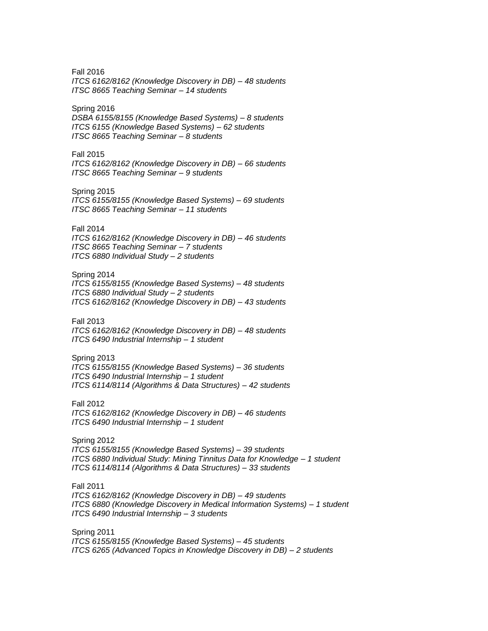Fall 2016 *ITCS 6162/8162 (Knowledge Discovery in DB) – 48 students ITSC 8665 Teaching Seminar – 14 students*

#### Spring 2016

*DSBA 6155/8155 (Knowledge Based Systems) – 8 students ITCS 6155 (Knowledge Based Systems) – 62 students ITSC 8665 Teaching Seminar – 8 students*

#### Fall 2015

*ITCS 6162/8162 (Knowledge Discovery in DB) – 66 students ITSC 8665 Teaching Seminar – 9 students*

#### Spring 2015

*ITCS 6155/8155 (Knowledge Based Systems) – 69 students ITSC 8665 Teaching Seminar – 11 students*

# Fall 2014

*ITCS 6162/8162 (Knowledge Discovery in DB) – 46 students ITSC 8665 Teaching Seminar – 7 students ITCS 6880 Individual Study – 2 students*

## Spring 2014

*ITCS 6155/8155 (Knowledge Based Systems) – 48 students ITCS 6880 Individual Study – 2 students ITCS 6162/8162 (Knowledge Discovery in DB) – 43 students*

#### Fall 2013

*ITCS 6162/8162 (Knowledge Discovery in DB) – 48 students ITCS 6490 Industrial Internship – 1 student*

#### Spring 2013

*ITCS 6155/8155 (Knowledge Based Systems) – 36 students ITCS 6490 Industrial Internship – 1 student ITCS 6114/8114 (Algorithms & Data Structures) – 42 students*

#### Fall 2012

*ITCS 6162/8162 (Knowledge Discovery in DB) – 46 students ITCS 6490 Industrial Internship – 1 student*

### Spring 2012

*ITCS 6155/8155 (Knowledge Based Systems) – 39 students ITCS 6880 Individual Study: Mining Tinnitus Data for Knowledge – 1 student ITCS 6114/8114 (Algorithms & Data Structures) – 33 students*

## Fall 2011

*ITCS 6162/8162 (Knowledge Discovery in DB) – 49 students ITCS 6880 (Knowledge Discovery in Medical Information Systems) – 1 student ITCS 6490 Industrial Internship – 3 students*

## Spring 2011

*ITCS 6155/8155 (Knowledge Based Systems) – 45 students ITCS 6265 (Advanced Topics in Knowledge Discovery in DB) – 2 students*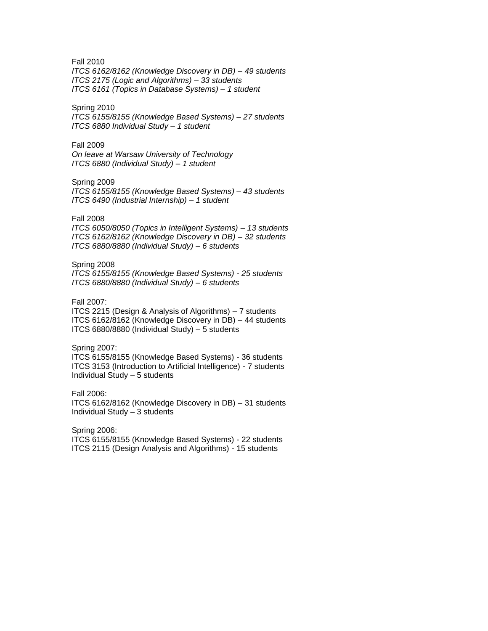Fall 2010

*ITCS 6162/8162 (Knowledge Discovery in DB) – 49 students ITCS 2175 (Logic and Algorithms) – 33 students ITCS 6161 (Topics in Database Systems) – 1 student*

#### Spring 2010

*ITCS 6155/8155 (Knowledge Based Systems) – 27 students ITCS 6880 Individual Study – 1 student*

## Fall 2009

*On leave at Warsaw University of Technology ITCS 6880 (Individual Study) – 1 student*

#### Spring 2009

*ITCS 6155/8155 (Knowledge Based Systems) – 43 students ITCS 6490 (Industrial Internship) – 1 student*

## Fall 2008

*ITCS 6050/8050 (Topics in Intelligent Systems) – 13 students ITCS 6162/8162 (Knowledge Discovery in DB) – 32 students ITCS 6880/8880 (Individual Study) – 6 students* 

### Spring 2008

*ITCS 6155/8155 (Knowledge Based Systems) - 25 students ITCS 6880/8880 (Individual Study) – 6 students* 

## Fall 2007:

ITCS 2215 (Design & Analysis of Algorithms) – 7 students ITCS 6162/8162 (Knowledge Discovery in DB) – 44 students ITCS 6880/8880 (Individual Study) – 5 students

#### Spring 2007:

ITCS 6155/8155 (Knowledge Based Systems) - 36 students ITCS 3153 (Introduction to Artificial Intelligence) - 7 students Individual Study – 5 students

#### Fall 2006:

ITCS 6162/8162 (Knowledge Discovery in DB) – 31 students Individual Study – 3 students

Spring 2006:

ITCS 6155/8155 (Knowledge Based Systems) - 22 students ITCS 2115 (Design Analysis and Algorithms) - 15 students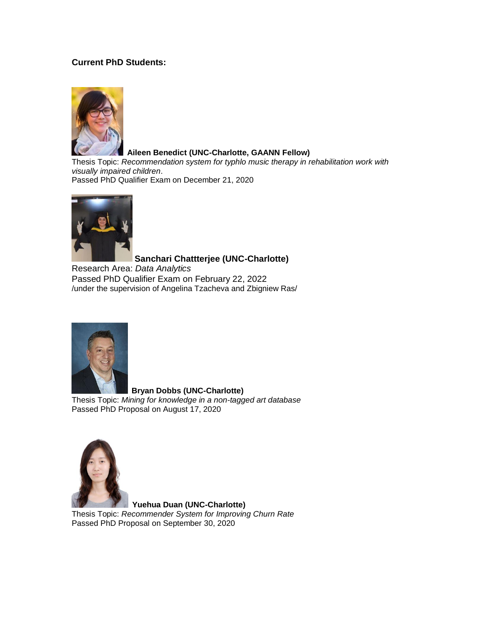# **Current PhD Students:**



## **Aileen Benedict (UNC-Charlotte, GAANN Fellow)**

Thesis Topic: *Recommendation system for typhlo music therapy in rehabilitation work with visually impaired children*. Passed PhD Qualifier Exam on December 21, 2020



# **Sanchari Chattterjee (UNC-Charlotte)**

Research Area: *Data Analytics* Passed PhD Qualifier Exam on February 22, 2022 /under the supervision of Angelina Tzacheva and Zbigniew Ras/



 **Bryan Dobbs (UNC-Charlotte)** Thesis Topic: *Mining for knowledge in a non-tagged art database* Passed PhD Proposal on August 17, 2020



 **Yuehua Duan (UNC-Charlotte)** Thesis Topic: *Recommender System for Improving Churn Rate* Passed PhD Proposal on September 30, 2020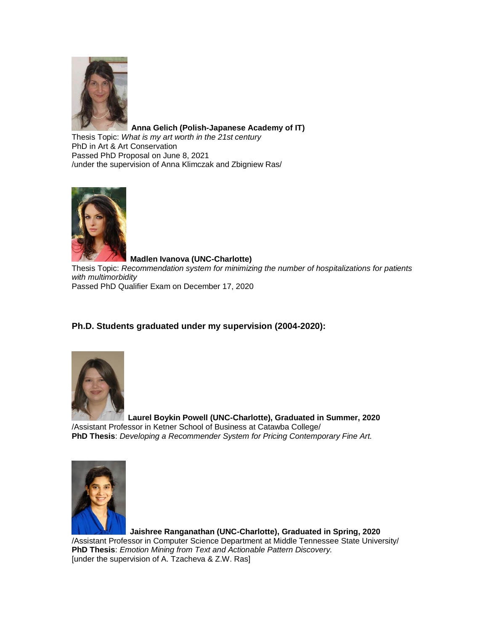

**Anna Gelich (Polish-Japanese Academy of IT)**

Thesis Topic: *What is my art worth in the 21st century* PhD in Art & Art Conservation Passed PhD Proposal on June 8, 2021 /under the supervision of Anna Klimczak and Zbigniew Ras/



 **Madlen Ivanova (UNC-Charlotte)** Thesis Topic: *Recommendation system for minimizing the number of hospitalizations for patients with multimorbidity* Passed PhD Qualifier Exam on December 17, 2020

# **Ph.D. Students graduated under my supervision (2004-2020):**



 **Laurel Boykin Powell (UNC-Charlotte), Graduated in Summer, 2020** /Assistant Professor in Ketner School of Business at Catawba College/ **PhD Thesis**: *Developing a Recommender System for Pricing Contemporary Fine Art.*



**Jaishree Ranganathan (UNC-Charlotte), Graduated in Spring, 2020**

/Assistant Professor in Computer Science Department at Middle Tennessee State University/ **PhD Thesis**: *Emotion Mining from Text and Actionable Pattern Discovery.* [under the supervision of A. Tzacheva & Z.W. Ras]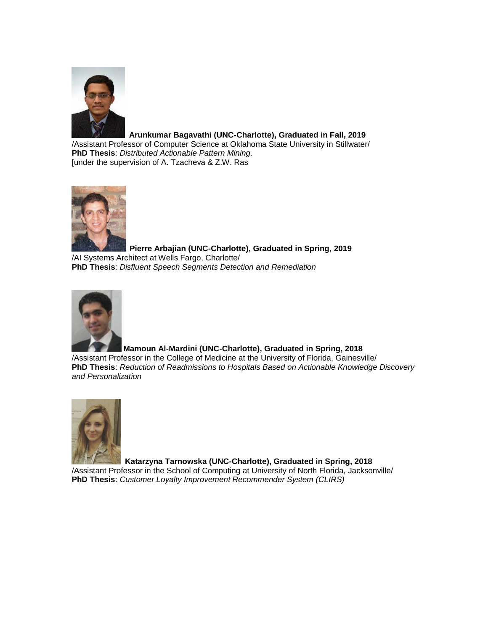

# **Arunkumar Bagavathi (UNC-Charlotte), Graduated in Fall, 2019**

/Assistant Professor of Computer Science at Oklahoma State University in Stillwater/ **PhD Thesis**: *Distributed Actionable Pattern Mining*. [under the supervision of A. Tzacheva & Z.W. Ras



 **Pierre Arbajian (UNC-Charlotte), Graduated in Spring, 2019** /AI Systems Architect at Wells Fargo, Charlotte/ **PhD Thesis**: *Disfluent Speech Segments Detection and Remediation*



# **Mamoun Al-Mardini (UNC-Charlotte), Graduated in Spring, 2018**

/Assistant Professor in the College of Medicine at the University of Florida, Gainesville/ **PhD Thesis**: *Reduction of Readmissions to Hospitals Based on Actionable Knowledge Discovery and Personalization*



 **Katarzyna Tarnowska (UNC-Charlotte), Graduated in Spring, 2018** /Assistant Professor in the School of Computing at University of North Florida, Jacksonville/ **PhD Thesis**: *Customer Loyalty Improvement Recommender System (CLIRS)*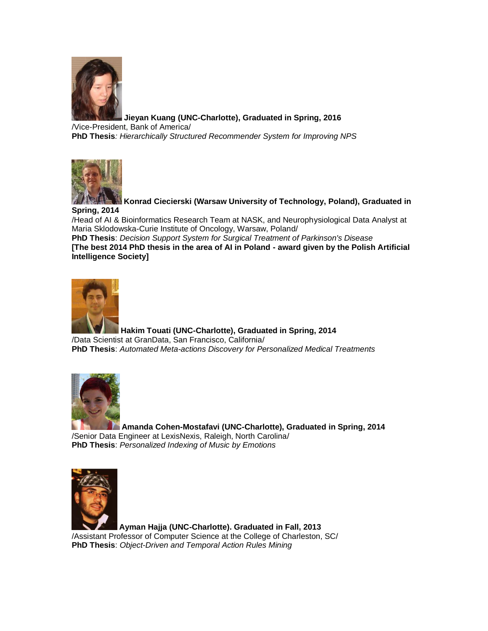

**[Jieyan Kuang](http://webpages.uncc.edu/~jkuang1/) (UNC-Charlotte), Graduated in Spring, 2016** /Vice-President, Bank of America/ **PhD Thesis***: Hierarchically Structured Recommender System for Improving NPS*



**Konrad Ciecierski (Warsaw University of Technology, Poland), Graduated in Spring, 2014**

/Head of AI & Bioinformatics Research Team at NASK, and Neurophysiological Data Analyst at Maria Sklodowska-Curie Institute of Oncology, Warsaw, Poland/

**PhD Thesis**: *Decision Support System for Surgical Treatment of Parkinson's Disease* **[The best 2014 PhD thesis in the area of AI in Poland - award given by the Polish Artificial Intelligence Society]**



**Hakim Touati (UNC-Charlotte), Graduated in Spring, 2014** /Data Scientist at GranData, San Francisco, California/ **PhD Thesis**: *Automated Meta-actions Discovery for Personalized Medical Treatments*



**Amanda Cohen-Mostafavi (UNC-Charlotte), Graduated in Spring, 2014** /Senior Data Engineer at LexisNexis, Raleigh, North Carolina/ **PhD Thesis**: *Personalized Indexing of Music by Emotions*



**Ayman Hajja (UNC-Charlotte). Graduated in Fall, 2013** /Assistant Professor of Computer Science at the College of Charleston, SC/ **PhD Thesis**: *Object-Driven and Temporal Action Rules Mining*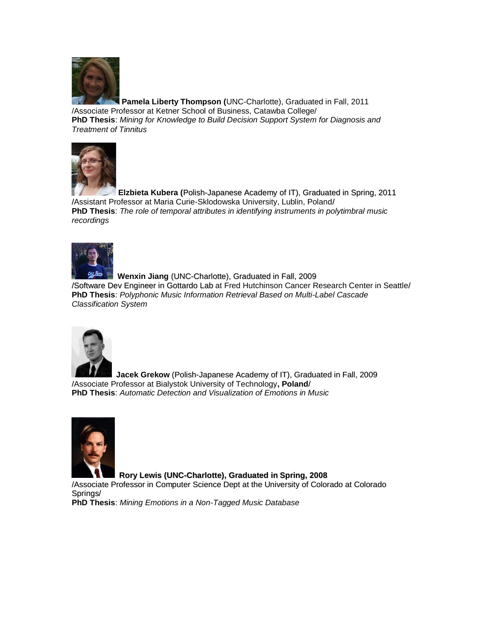

**Pamela Liberty Thompson (**UNC-Charlotte), Graduated in Fall, 2011 /Associate Professor at Ketner School of Business, Catawba College/ **PhD Thesis**: *Mining for Knowledge to Build Decision Support System for Diagnosis and Treatment of Tinnitus*



**Elzbieta Kubera (**Polish-Japanese Academy of IT), Graduated in Spring, 2011 /Assistant Professor at Maria Curie-Sklodowska University, Lublin, Poland/ **PhD Thesis**: *The role of temporal attributes in identifying instruments in polytimbral music recordings*



**Wenxin Jiang** (UNC-Charlotte), Graduated in Fall, 2009 /Software Dev Engineer in Gottardo Lab at Fred Hutchinson Cancer Research Center in Seattle/ **PhD Thesis**: *Polyphonic Music Information Retrieval Based on Multi-Label Cascade Classification System*



**Jacek Grekow** (Polish-Japanese Academy of IT), Graduated in Fall, 2009 /Associate Professor at Bialystok University of Technology**, Poland**/ **PhD Thesis**: *Automatic Detection and Visualization of Emotions in Music*



**Rory Lewis (UNC-Charlotte), Graduated in Spring, 2008**

/Associate Professor in Computer Science Dept at the University of Colorado at Colorado Springs/

**PhD Thesis**: *Mining Emotions in a Non-Tagged Music Database*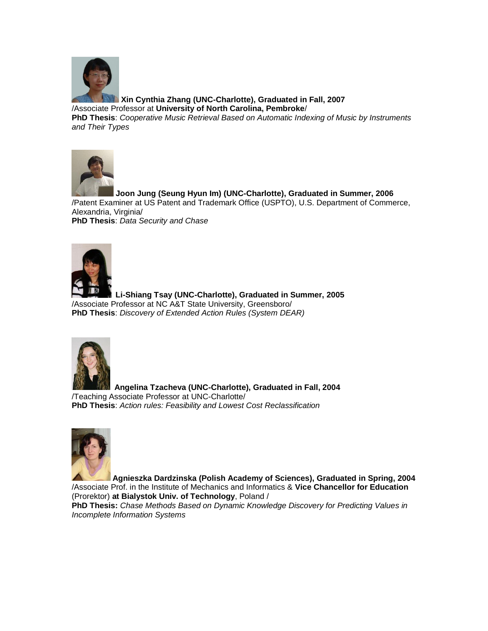

**Xin Cynthia Zhang (UNC-Charlotte), Graduated in Fall, 2007** /Associate Professor at **University of North Carolina, Pembroke**/

**PhD Thesis**: *Cooperative Music Retrieval Based on Automatic Indexing of Music by Instruments and Their Types*



**Joon Jung (Seung Hyun Im) (UNC-Charlotte), Graduated in Summer, 2006** /Patent Examiner at US Patent and Trademark Office (USPTO), U.S. Department of Commerce, Alexandria, Virginia/ **PhD Thesis**: *Data Security and Chase*



 **Li-Shiang Tsay (UNC-Charlotte), Graduated in Summer, 2005** /Associate Professor at NC A&T State University, Greensboro/ **PhD Thesis**: *Discovery of Extended Action Rules (System DEAR)*



 **Angelina Tzacheva (UNC-Charlotte), Graduated in Fall, 2004** /Teaching Associate Professor at UNC-Charlotte/ **PhD Thesis**: *Action rules: Feasibility and Lowest Cost Reclassification*



**Agnieszka Dardzinska (Polish Academy of Sciences), Graduated in Spring, 2004** /Associate Prof. in the Institute of Mechanics and Informatics & **Vice Chancellor for Education**

(Prorektor) **at Bialystok Univ. of Technology**, Poland / **PhD Thesis:** *Chase Methods Based on Dynamic Knowledge Discovery for Predicting Values in Incomplete Information Systems*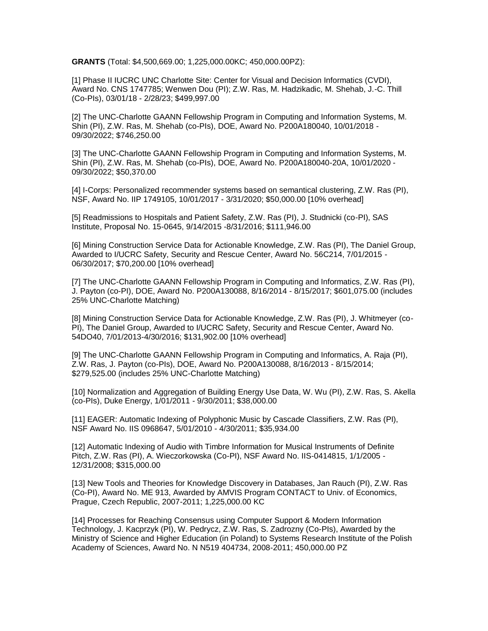**GRANTS** (Total: \$4,500,669.00; 1,225,000.00KC; 450,000.00PZ):

[1] Phase II IUCRC UNC Charlotte Site: Center for Visual and Decision Informatics (CVDI), Award No. CNS 1747785; Wenwen Dou (PI); Z.W. Ras, M. Hadzikadic, M. Shehab, J.-C. Thill (Co-PIs), 03/01/18 - 2/28/23; \$499,997.00

[2] The UNC-Charlotte GAANN Fellowship Program in Computing and Information Systems, M. Shin (PI), Z.W. Ras, M. Shehab (co-PIs), DOE, Award No. P200A180040, 10/01/2018 - 09/30/2022; \$746,250.00

[3] The UNC-Charlotte GAANN Fellowship Program in Computing and Information Systems, M. Shin (PI), Z.W. Ras, M. Shehab (co-PIs), DOE, Award No. P200A180040-20A, 10/01/2020 - 09/30/2022; \$50,370.00

[4] I-Corps: Personalized recommender systems based on semantical clustering, Z.W. Ras (PI), NSF, Award No. IIP 1749105, 10/01/2017 - 3/31/2020; \$50,000.00 [10% overhead]

[5] Readmissions to Hospitals and Patient Safety, Z.W. Ras (PI), J. Studnicki (co-PI), SAS Institute, Proposal No. 15-0645, 9/14/2015 -8/31/2016; \$111,946.00

[6] Mining Construction Service Data for Actionable Knowledge, Z.W. Ras (PI), The Daniel Group, Awarded to I/UCRC Safety, Security and Rescue Center, Award No. 56C214, 7/01/2015 - 06/30/2017; \$70,200.00 [10% overhead]

[7] The UNC-Charlotte GAANN Fellowship Program in Computing and Informatics, Z.W. Ras (PI), J. Payton (co-PI), DOE, Award No. P200A130088, 8/16/2014 - 8/15/2017; \$601,075.00 (includes 25% UNC-Charlotte Matching)

[8] Mining Construction Service Data for Actionable Knowledge, Z.W. Ras (PI), J. Whitmeyer (co-PI), The Daniel Group, Awarded to I/UCRC Safety, Security and Rescue Center, Award No. 54DO40, 7/01/2013-4/30/2016; \$131,902.00 [10% overhead]

[9] The UNC-Charlotte GAANN Fellowship Program in Computing and Informatics, A. Raja (PI), Z.W. Ras, J. Payton (co-PIs), DOE, Award No. P200A130088, 8/16/2013 - 8/15/2014; \$279,525.00 (includes 25% UNC-Charlotte Matching)

[10] Normalization and Aggregation of Building Energy Use Data, W. Wu (PI), Z.W. Ras, S. Akella (co-PIs), Duke Energy, 1/01/2011 - 9/30/2011; \$38,000.00

[11] EAGER: Automatic Indexing of Polyphonic Music by Cascade Classifiers, Z.W. Ras (PI), NSF Award No. IIS 0968647, 5/01/2010 - 4/30/2011; \$35,934.00

[12] Automatic Indexing of Audio with Timbre Information for Musical Instruments of Definite Pitch, Z.W. Ras (PI), A. Wieczorkowska (Co-PI), NSF Award No. IIS-0414815, 1/1/2005 - 12/31/2008; \$315,000.00

[13] New Tools and Theories for Knowledge Discovery in Databases, Jan Rauch (PI), Z.W. Ras (Co-PI), Award No. ME 913, Awarded by AMVIS Program CONTACT to Univ. of Economics, Prague, Czech Republic, 2007-2011; 1,225,000.00 KC

[14] Processes for Reaching Consensus using Computer Support & Modern Information Technology, J. Kacprzyk (PI), W. Pedrycz, Z.W. Ras, S. Zadrozny (Co-PIs), Awarded by the Ministry of Science and Higher Education (in Poland) to Systems Research Institute of the Polish Academy of Sciences, Award No. N N519 404734, 2008-2011; 450,000.00 PZ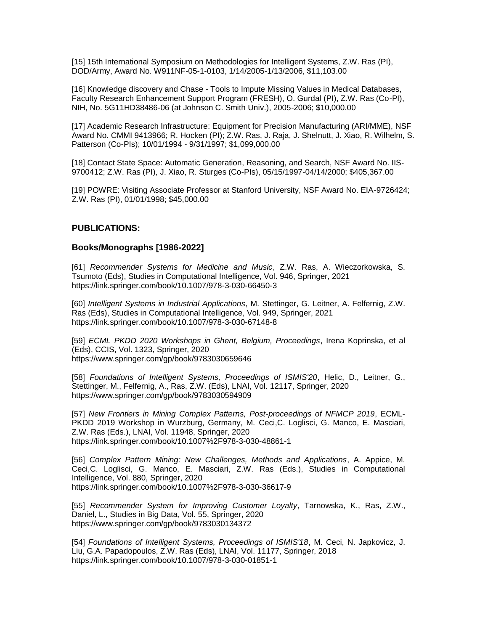[15] 15th International Symposium on Methodologies for Intelligent Systems, Z.W. Ras (PI), DOD/Army, Award No. W911NF-05-1-0103, 1/14/2005-1/13/2006, \$11,103.00

[16] Knowledge discovery and Chase - Tools to Impute Missing Values in Medical Databases, Faculty Research Enhancement Support Program (FRESH), O. Gurdal (PI), Z.W. Ras (Co-PI), NIH, No. 5G11HD38486-06 (at Johnson C. Smith Univ.), 2005-2006; \$10,000.00

[17] Academic Research Infrastructure: Equipment for Precision Manufacturing (ARI/MME), NSF Award No. CMMI 9413966; R. Hocken (PI); Z.W. Ras, J. Raja, J. Shelnutt, J. Xiao, R. Wilhelm, S. Patterson (Co-PIs); 10/01/1994 - 9/31/1997; \$1,099,000.00

[18] Contact State Space: Automatic Generation, Reasoning, and Search, NSF Award No. IIS-9700412; Z.W. Ras (PI), J. Xiao, R. Sturges (Co-PIs), 05/15/1997-04/14/2000; \$405,367.00

[19] POWRE: Visiting Associate Professor at Stanford University, NSF Award No. EIA-9726424; Z.W. Ras (PI), 01/01/1998; \$45,000.00

## **PUBLICATIONS:**

## **Books/Monographs [1986-2022]**

[61] *Recommender Systems for Medicine and Music*, Z.W. Ras, A. Wieczorkowska, S. Tsumoto (Eds), Studies in Computational Intelligence, Vol. 946, Springer, 2021 https://link.springer.com/book/10.1007/978-3-030-66450-3

[60] *Intelligent Systems in Industrial Applications*, M. Stettinger, G. Leitner, A. Felfernig, Z.W. Ras (Eds), Studies in Computational Intelligence, Vol. 949, Springer, 2021 https://link.springer.com/book/10.1007/978-3-030-67148-8

[59] *ECML PKDD 2020 Workshops in Ghent, Belgium, Proceedings*, Irena Koprinska, et al (Eds), CCIS, Vol. 1323, Springer, 2020 https://www.springer.com/gp/book/9783030659646

[58] *Foundations of Intelligent Systems, Proceedings of ISMIS'20*, Helic, D., Leitner, G., Stettinger, M., Felfernig, A., Ras, Z.W. (Eds), LNAI, Vol. 12117, Springer, 2020 https://www.springer.com/gp/book/9783030594909

[57] *New Frontiers in Mining Complex Patterns, Post-proceedings of NFMCP 2019*, ECML-PKDD 2019 Workshop in Wurzburg, Germany, M. Ceci,C. Loglisci, G. Manco, E. Masciari, Z.W. Ras (Eds.), LNAI, Vol. 11948, Springer, 2020 https://link.springer.com/book/10.1007%2F978-3-030-48861-1

[56] *Complex Pattern Mining: New Challenges, Methods and Applications*, A. Appice, M. Ceci,C. Loglisci, G. Manco, E. Masciari, Z.W. Ras (Eds.), Studies in Computational Intelligence, Vol. 880, Springer, 2020 https://link.springer.com/book/10.1007%2F978-3-030-36617-9

[55] *Recommender System for Improving Customer Loyalty*, Tarnowska, K., Ras, Z.W., Daniel, L., Studies in Big Data, Vol. 55, Springer, 2020 https://www.springer.com/gp/book/9783030134372

[54] *Foundations of Intelligent Systems, Proceedings of ISMIS'18*, M. Ceci, N. Japkovicz, J. Liu, G.A. Papadopoulos, Z.W. Ras (Eds), LNAI, Vol. 11177, Springer, 2018 https://link.springer.com/book/10.1007/978-3-030-01851-1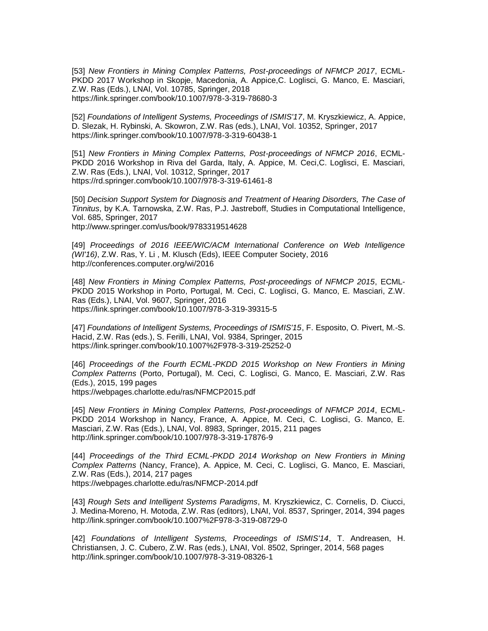[53] *New Frontiers in Mining Complex Patterns, Post-proceedings of NFMCP 2017*, ECML-PKDD 2017 Workshop in Skopje, Macedonia, A. Appice,C. Loglisci, G. Manco, E. Masciari, Z.W. Ras (Eds.), LNAI, Vol. 10785, Springer, 2018 https://link.springer.com/book/10.1007/978-3-319-78680-3

[52] *Foundations of Intelligent Systems, Proceedings of ISMIS'17*, M. Kryszkiewicz, A. Appice, D. Slezak, H. Rybinski, A. Skowron, Z.W. Ras (eds.), LNAI, Vol. 10352, Springer, 2017 https://link.springer.com/book/10.1007/978-3-319-60438-1

[51] *New Frontiers in Mining Complex Patterns, Post-proceedings of NFMCP 2016*, ECML-PKDD 2016 Workshop in Riva del Garda, Italy, A. Appice, M. Ceci,C. Loglisci, E. Masciari, Z.W. Ras (Eds.), LNAI, Vol. 10312, Springer, 2017 https://rd.springer.com/book/10.1007/978-3-319-61461-8

[50] *Decision Support System for Diagnosis and Treatment of Hearing Disorders, The Case of Tinnitus*, by K.A. Tarnowska, Z.W. Ras, P.J. Jastreboff, Studies in Computational Intelligence, Vol. 685, Springer, 2017 http://www.springer.com/us/book/9783319514628

[49] *Proceedings of 2016 IEEE/WIC/ACM International Conference on Web Intelligence (WI'16)*, Z.W. Ras, Y. Li , M. Klusch (Eds), IEEE Computer Society, 2016 http://conferences.computer.org/wi/2016

[48] *New Frontiers in Mining Complex Patterns, Post-proceedings of NFMCP 2015*, ECML-PKDD 2015 Workshop in Porto, Portugal, M. Ceci, C. Loglisci, G. Manco, E. Masciari, Z.W. Ras (Eds.), LNAI, Vol. 9607, Springer, 2016 https://link.springer.com/book/10.1007/978-3-319-39315-5

[47] *Foundations of Intelligent Systems, Proceedings of ISMIS'15*, F. Esposito, O. Pivert, M.-S. Hacid, Z.W. Ras (eds.), S. Ferilli, LNAI, Vol. 9384, Springer, 2015 https://link.springer.com/book/10.1007%2F978-3-319-25252-0

[46] *Proceedings of the Fourth ECML-PKDD 2015 Workshop on New Frontiers in Mining Complex Patterns* (Porto, Portugal), M. Ceci, C. Loglisci, G. Manco, E. Masciari, Z.W. Ras (Eds.), 2015, 199 pages https://webpages.charlotte.edu/ras/NFMCP2015.pdf

[45] *New Frontiers in Mining Complex Patterns, Post-proceedings of NFMCP 2014*, ECML-PKDD 2014 Workshop in Nancy, France, A. Appice, M. Ceci, C. Loglisci, G. Manco, E. Masciari, Z.W. Ras (Eds.), LNAI, Vol. 8983, Springer, 2015, 211 pages http://link.springer.com/book/10.1007/978-3-319-17876-9

[44] *Proceedings of the Third ECML-PKDD 2014 Workshop on New Frontiers in Mining Complex Patterns* (Nancy, France), A. Appice, M. Ceci, C. Loglisci, G. Manco, E. Masciari, Z.W. Ras (Eds.), 2014, 217 pages https://webpages.charlotte.edu/ras/NFMCP-2014.pdf

[43] *Rough Sets and Intelligent Systems Paradigms*, M. Kryszkiewicz, C. Cornelis, D. Ciucci, J. Medina-Moreno, H. Motoda, Z.W. Ras (editors), LNAI, Vol. 8537, Springer, 2014, 394 pages http://link.springer.com/book/10.1007%2F978-3-319-08729-0

[42] *Foundations of Intelligent Systems, Proceedings of ISMIS'14*, T. Andreasen, H. Christiansen, J. C. Cubero, Z.W. Ras (eds.), LNAI, Vol. 8502, Springer, 2014, 568 pages http://link.springer.com/book/10.1007/978-3-319-08326-1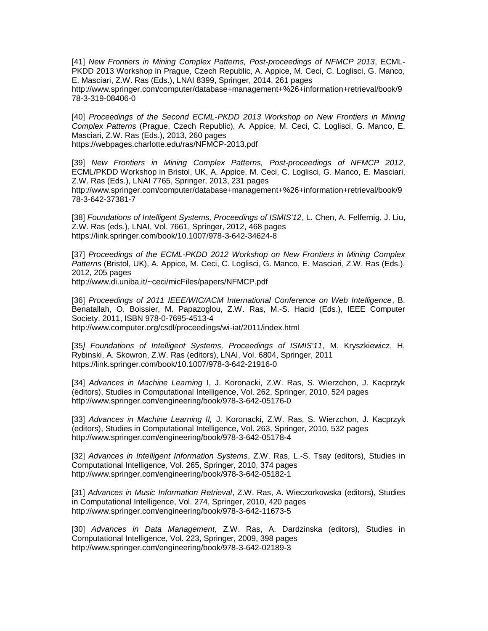[41] *New Frontiers in Mining Complex Patterns, Post-proceedings of NFMCP 2013*, ECML-PKDD 2013 Workshop in Prague, Czech Republic, A. Appice, M. Ceci, C. Loglisci, G. Manco, E. Masciari, Z.W. Ras (Eds.), LNAI 8399, Springer, 2014, 261 pages http://www.springer.com/computer/database+management+%26+information+retrieval/book/9 78-3-319-08406-0

[40] *Proceedings of the Second ECML-PKDD 2013 Workshop on New Frontiers in Mining Complex Patterns* (Prague, Czech Republic), A. Appice, M. Ceci, C. Loglisci, G. Manco, E. Masciari, Z.W. Ras (Eds.), 2013, 260 pages https://webpages.charlotte.edu/ras/NFMCP-2013.pdf

[39] *New Frontiers in Mining Complex Patterns, Post-proceedings of NFMCP 2012*, ECML/PKDD Workshop in Bristol, UK, A. Appice, M. Ceci, C. Loglisci, G. Manco, E. Masciari, Z.W. Ras (Eds.), LNAI 7765, Springer, 2013, 231 pages

http://www.springer.com/computer/database+management+%26+information+retrieval/book/9 78-3-642-37381-7

[38] *Foundations of Intelligent Systems, Proceedings of ISMIS'12*, L. Chen, A. Felfernig, J. Liu, Z.W. Ras (eds.), LNAI, Vol. 7661, Springer, 2012, 468 pages https://link.springer.com/book/10.1007/978-3-642-34624-8

[37] Proceedings of the ECML-PKDD 2012 Workshop on New Frontiers in Mining Complex *Patterns* (Bristol, UK), A. Appice, M. Ceci, C. Loglisci, G. Manco, E. Masciari, Z.W. Ras (Eds.), 2012, 205 pages

http://www.di.uniba.it/~ceci/micFiles/papers/NFMCP.pdf

[36] *Proceedings of 2011 IEEE/WIC/ACM International Conference on Web Intelligence*, B. Benatallah, O. Boissier, M. Papazoglou, Z.W. Ras, M.-S. Hacid (Eds.), IEEE Computer Society, 2011, ISBN 978-0-7695-4513-4 http://www.computer.org/csdl/proceedings/wi-iat/2011/index.html

[35*] Foundations of Intelligent Systems, Proceedings of ISMIS'11*, M. Kryszkiewicz, H. Rybinski, A. Skowron, Z.W. Ras (editors), LNAI, Vol. 6804, Springer, 2011 https://link.springer.com/book/10.1007/978-3-642-21916-0

[34] *Advances in Machine Learning* I, J. Koronacki, Z.W. Ras, S. Wierzchon, J. Kacprzyk (editors), Studies in Computational Intelligence, Vol. 262, Springer, 2010, 524 pages http://www.springer.com/engineering/book/978-3-642-05176-0

[33] *Advances in Machine Learning II,* J. Koronacki, Z.W. Ras, S. Wierzchon, J. Kacprzyk (editors), Studies in Computational Intelligence, Vol. 263, Springer, 2010, 532 pages http://www.springer.com/engineering/book/978-3-642-05178-4

[32] *Advances in Intelligent Information Systems*, Z.W. Ras, L.-S. Tsay (editors), Studies in Computational Intelligence, Vol. 265, Springer, 2010, 374 pages http://www.springer.com/engineering/book/978-3-642-05182-1

[31] *Advances in Music Information Retrieval*, Z.W. Ras, A. Wieczorkowska (editors), Studies in Computational Intelligence, Vol. 274, Springer, 2010, 420 pages http://www.springer.com/engineering/book/978-3-642-11673-5

[30] *Advances in Data Management*, Z.W. Ras, A. Dardzinska (editors), Studies in Computational Intelligence, Vol. 223, Springer, 2009, 398 pages http://www.springer.com/engineering/book/978-3-642-02189-3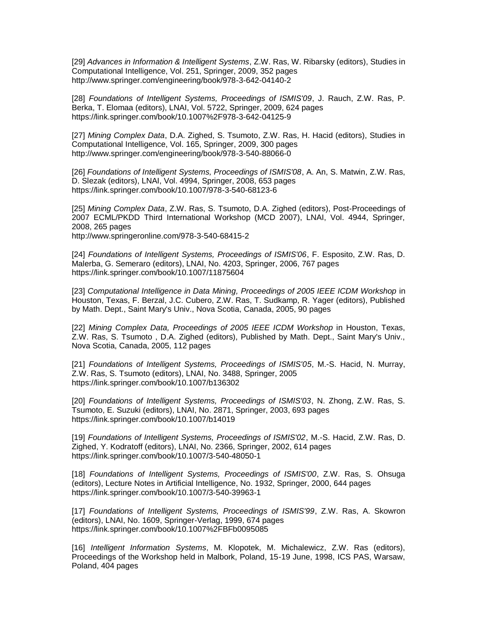[29] *Advances in Information & Intelligent Systems*, Z.W. Ras, W. Ribarsky (editors), Studies in Computational Intelligence, Vol. 251, Springer, 2009, 352 pages http://www.springer.com/engineering/book/978-3-642-04140-2

[28] *Foundations of Intelligent Systems, Proceedings of ISMIS'09*, J. Rauch, Z.W. Ras, P. Berka, T. Elomaa (editors), LNAI, Vol. 5722, Springer, 2009, 624 pages https://link.springer.com/book/10.1007%2F978-3-642-04125-9

[27] *Mining Complex Data*, D.A. Zighed, S. Tsumoto, Z.W. Ras, H. Hacid (editors), Studies in Computational Intelligence, Vol. 165, Springer, 2009, 300 pages http://www.springer.com/engineering/book/978-3-540-88066-0

[26] *Foundations of Intelligent Systems, Proceedings of ISMIS'08*, A. An, S. Matwin, Z.W. Ras, D. Slezak (editors), LNAI, Vol. 4994, Springer, 2008, 653 pages https://link.springer.com/book/10.1007/978-3-540-68123-6

[25] *Mining Complex Data*, Z.W. Ras, S. Tsumoto, D.A. Zighed (editors), Post-Proceedings of 2007 ECML/PKDD Third International Workshop (MCD 2007), LNAI, Vol. 4944, Springer, 2008, 265 pages

http://www.springeronline.com/978-3-540-68415-2

[24] *Foundations of Intelligent Systems, Proceedings of ISMIS'06*, F. Esposito, Z.W. Ras, D. Malerba, G. Semeraro (editors), LNAI, No. 4203, Springer, 2006, 767 pages https://link.springer.com/book/10.1007/11875604

[23] *Computational Intelligence in Data Mining, Proceedings of 2005 IEEE ICDM Workshop* in Houston, Texas, F. Berzal, J.C. Cubero, Z.W. Ras, T. Sudkamp, R. Yager (editors), Published by Math. Dept., Saint Mary's Univ., Nova Scotia, Canada, 2005, 90 pages

[22] *Mining Complex Data, Proceedings of 2005 IEEE ICDM Workshop* in Houston, Texas, Z.W. Ras, S. Tsumoto , D.A. Zighed (editors), Published by Math. Dept., Saint Mary's Univ., Nova Scotia, Canada, 2005, 112 pages

[21] *Foundations of Intelligent Systems, Proceedings of ISMIS'05*, M.-S. Hacid, N. Murray, Z.W. Ras, S. Tsumoto (editors), LNAI, No. 3488, Springer, 2005 https://link.springer.com/book/10.1007/b136302

[20] *Foundations of Intelligent Systems, Proceedings of ISMIS'03*, N. Zhong, Z.W. Ras, S. Tsumoto, E. Suzuki (editors), LNAI, No. 2871, Springer, 2003, 693 pages https://link.springer.com/book/10.1007/b14019

[19] *Foundations of Intelligent Systems, Proceedings of ISMIS'02*, M.-S. Hacid, Z.W. Ras, D. Zighed, Y. Kodratoff (editors), LNAI, No. 2366, Springer, 2002, 614 pages https://link.springer.com/book/10.1007/3-540-48050-1

[18] *Foundations of Intelligent Systems, Proceedings of ISMIS'00*, Z.W. Ras, S. Ohsuga (editors), Lecture Notes in Artificial Intelligence, No. 1932, Springer, 2000, 644 pages https://link.springer.com/book/10.1007/3-540-39963-1

[17] *Foundations of Intelligent Systems, Proceedings of ISMIS'99*, Z.W. Ras, A. Skowron (editors), LNAI, No. 1609, Springer-Verlag, 1999, 674 pages https://link.springer.com/book/10.1007%2FBFb0095085

[16] *Intelligent Information Systems*, M. Klopotek, M. Michalewicz, Z.W. Ras (editors), Proceedings of the Workshop held in Malbork, Poland, 15-19 June, 1998, ICS PAS, Warsaw, Poland, 404 pages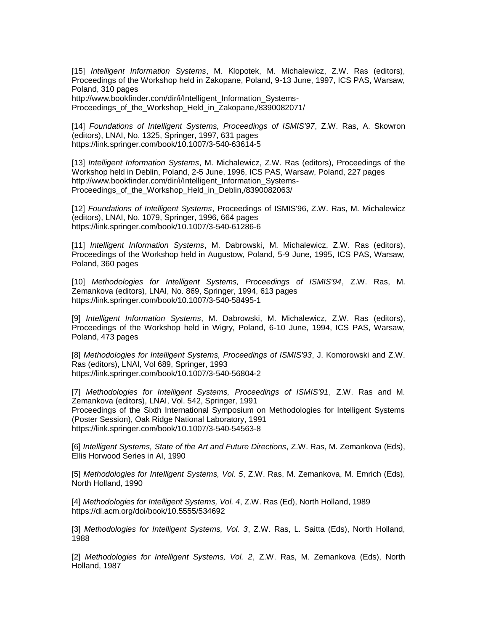[15] *Intelligent Information Systems*, M. Klopotek, M. Michalewicz, Z.W. Ras (editors), Proceedings of the Workshop held in Zakopane, Poland, 9-13 June, 1997, ICS PAS, Warsaw, Poland, 310 pages

http://www.bookfinder.com/dir/i/Intelligent\_Information\_Systems-Proceedings\_of\_the\_Workshop\_Held\_in\_Zakopane,/8390082071/

[14] *Foundations of Intelligent Systems, Proceedings of ISMIS'97*, Z.W. Ras, A. Skowron (editors), LNAI, No. 1325, Springer, 1997, 631 pages https://link.springer.com/book/10.1007/3-540-63614-5

[13] *Intelligent Information Systems*, M. Michalewicz, Z.W. Ras (editors), Proceedings of the Workshop held in Deblin, Poland, 2-5 June, 1996, ICS PAS, Warsaw, Poland, 227 pages http://www.bookfinder.com/dir/i/Intelligent\_Information\_Systems-Proceedings of the Workshop Held in Deblin,/8390082063/

[12] *Foundations of Intelligent Systems*, Proceedings of ISMIS'96, Z.W. Ras, M. Michalewicz (editors), LNAI, No. 1079, Springer, 1996, 664 pages https://link.springer.com/book/10.1007/3-540-61286-6

[11] *Intelligent Information Systems*, M. Dabrowski, M. Michalewicz, Z.W. Ras (editors), Proceedings of the Workshop held in Augustow, Poland, 5-9 June, 1995, ICS PAS, Warsaw, Poland, 360 pages

[10] *Methodologies for Intelligent Systems, Proceedings of ISMIS'94*, Z.W. Ras, M. Zemankova (editors), LNAI, No. 869, Springer, 1994, 613 pages https://link.springer.com/book/10.1007/3-540-58495-1

[9] *Intelligent Information Systems*, M. Dabrowski, M. Michalewicz, Z.W. Ras (editors), Proceedings of the Workshop held in Wigry, Poland, 6-10 June, 1994, ICS PAS, Warsaw, Poland, 473 pages

[8] *Methodologies for Intelligent Systems, Proceedings of ISMIS'93*, J. Komorowski and Z.W. Ras (editors), LNAI, Vol 689, Springer, 1993 https://link.springer.com/book/10.1007/3-540-56804-2

[7] *Methodologies for Intelligent Systems, Proceedings of ISMIS'91*, Z.W. Ras and M. Zemankova (editors), LNAI, Vol. 542, Springer, 1991 Proceedings of the Sixth International Symposium on Methodologies for Intelligent Systems (Poster Session), Oak Ridge National Laboratory, 1991 https://link.springer.com/book/10.1007/3-540-54563-8

[6] *Intelligent Systems, State of the Art and Future Directions*, Z.W. Ras, M. Zemankova (Eds), Ellis Horwood Series in AI, 1990

[5] *Methodologies for Intelligent Systems, Vol. 5*, Z.W. Ras, M. Zemankova, M. Emrich (Eds), North Holland, 1990

[4] *Methodologies for Intelligent Systems, Vol. 4*, Z.W. Ras (Ed), North Holland, 1989 https://dl.acm.org/doi/book/10.5555/534692

[3] *Methodologies for Intelligent Systems, Vol. 3*, Z.W. Ras, L. Saitta (Eds), North Holland, 1988

[2] *Methodologies for Intelligent Systems, Vol. 2*, Z.W. Ras, M. Zemankova (Eds), North Holland, 1987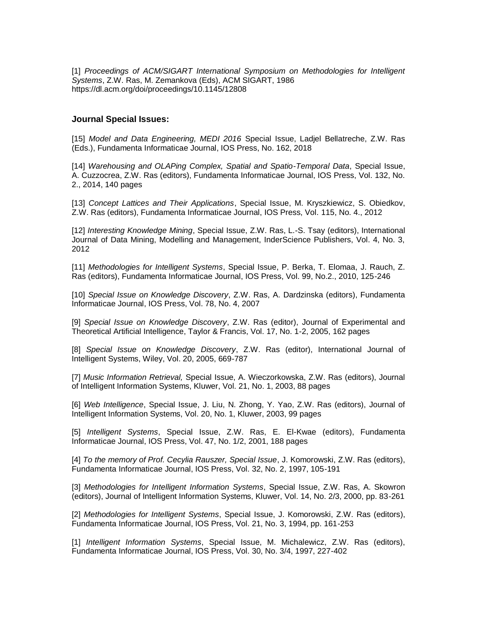[1] *Proceedings of ACM/SIGART International Symposium on Methodologies for Intelligent Systems*, Z.W. Ras, M. Zemankova (Eds), ACM SIGART, 1986 https://dl.acm.org/doi/proceedings/10.1145/12808

## **Journal Special Issues:**

[15] *Model and Data Engineering, MEDI 2016* Special Issue, Ladjel Bellatreche, Z.W. Ras (Eds.), Fundamenta Informaticae Journal, IOS Press, No. 162, 2018

[14] *Warehousing and OLAPing Complex, Spatial and Spatio-Temporal Data*, Special Issue, A. Cuzzocrea, Z.W. Ras (editors), Fundamenta Informaticae Journal, IOS Press, Vol. 132, No. 2., 2014, 140 pages

[13] *Concept Lattices and Their Applications*, Special Issue, M. Kryszkiewicz, S. Obiedkov, Z.W. Ras (editors), Fundamenta Informaticae Journal, IOS Press, Vol. 115, No. 4., 2012

[12] *Interesting Knowledge Mining*, Special Issue, Z.W. Ras, L.-S. Tsay (editors), International Journal of Data Mining, Modelling and Management, InderScience Publishers, Vol. 4, No. 3, 2012

[11] *Methodologies for Intelligent Systems*, Special Issue, P. Berka, T. Elomaa, J. Rauch, Z. Ras (editors), Fundamenta Informaticae Journal, IOS Press, Vol. 99, No.2., 2010, 125-246

[10] *Special Issue on Knowledge Discovery*, Z.W. Ras, A. Dardzinska (editors), Fundamenta Informaticae Journal, IOS Press, Vol. 78, No. 4, 2007

[9] *Special Issue on Knowledge Discovery*, Z.W. Ras (editor), Journal of Experimental and Theoretical Artificial Intelligence, Taylor & Francis, Vol. 17, No. 1-2, 2005, 162 pages

[8] *Special Issue on Knowledge Discovery*, Z.W. Ras (editor), International Journal of Intelligent Systems, Wiley, Vol. 20, 2005, 669-787

[7] *Music Information Retrieval,* Special Issue, A. Wieczorkowska, Z.W. Ras (editors), Journal of Intelligent Information Systems, Kluwer, Vol. 21, No. 1, 2003, 88 pages

[6] *Web Intelligence*, Special Issue, J. Liu, N. Zhong, Y. Yao, Z.W. Ras (editors), Journal of Intelligent Information Systems, Vol. 20, No. 1, Kluwer, 2003, 99 pages

[5] *Intelligent Systems*, Special Issue, Z.W. Ras, E. El-Kwae (editors), Fundamenta Informaticae Journal, IOS Press, Vol. 47, No. 1/2, 2001, 188 pages

[4] *To the memory of Prof. Cecylia Rauszer, Special Issue*, J. Komorowski, Z.W. Ras (editors), Fundamenta Informaticae Journal, IOS Press, Vol. 32, No. 2, 1997, 105-191

[3] *Methodologies for Intelligent Information Systems*, Special Issue, Z.W. Ras, A. Skowron (editors), Journal of Intelligent Information Systems, Kluwer, Vol. 14, No. 2/3, 2000, pp. 83-261

[2] *Methodologies for Intelligent Systems*, Special Issue, J. Komorowski, Z.W. Ras (editors), Fundamenta Informaticae Journal, IOS Press, Vol. 21, No. 3, 1994, pp. 161-253

[1] *Intelligent Information Systems*, Special Issue, M. Michalewicz, Z.W. Ras (editors), Fundamenta Informaticae Journal, IOS Press, Vol. 30, No. 3/4, 1997, 227-402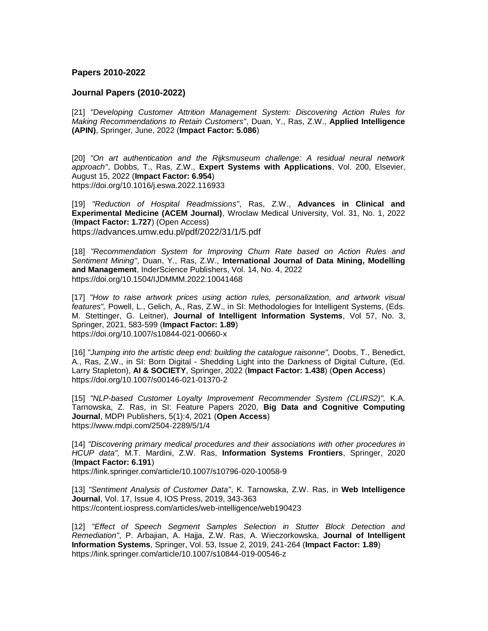## **Papers 2010-2022**

## **Journal Papers (2010-2022)**

[21] *"Developing Customer Attrition Management System: Discovering Action Rules for Making Recommendations to Retain Customers"*, Duan, Y., Ras, Z.W., **Applied Intelligence (APIN)**, Springer, June, 2022 (**Impact Factor: 5.086**)

[20] *"On art authentication and the Rijksmuseum challenge: A residual neural network approach"*, Dobbs, T., Ras, Z.W., **Expert Systems with Applications**, Vol. 200, Elsevier, August 15, 2022 (**Impact Factor: 6.954**) https://doi.org/10.1016/j.eswa.2022.116933

[19] *"Reduction of Hospital Readmissions"*, Ras, Z.W., **Advances in Clinical and Experimental Medicine (ACEM Journal)**, Wroclaw Medical University, Vol. 31, No. 1, 2022 (**Impact Factor: 1.727**) (Open Access) https://advances.umw.edu.pl/pdf/2022/31/1/5.pdf

[18] *"Recommendation System for Improving Churn Rate based on Action Rules and Sentiment Mining"*, Duan, Y., Ras, Z.W., **International Journal of Data Mining, Modelling and Management**, InderScience Publishers, Vol. 14, No. 4, 2022 https://doi.org/10.1504/IJDMMM.2022.10041468

[17] "How to raise artwork prices using action rules, personalization, and artwork visual *features",* Powell, L., Gelich, A., Ras, Z.W., in SI: Methodologies for Intelligent Systems, (Eds. M. Stettinger, G. Leitner), **Journal of Intelligent Information Systems**, Vol 57, No. 3, Springer, 2021, 583-599 (**Impact Factor: 1.89**) https://doi.org/10.1007/s10844-021-00660-x

[16] *"Jumping into the artistic deep end: building the catalogue raisonne",* Doobs, T., Benedict, A., Ras, Z.W., in SI: Born Digital - Shedding Light into the Darkness of Digital Culture, (Ed. Larry Stapleton), **AI & SOCIETY**, Springer, 2022 (**Impact Factor: 1.438**) (**Open Access**) https://doi.org/10.1007/s00146-021-01370-2

[15] *"NLP-based Customer Loyalty Improvement Recommender System (CLIRS2)",* K.A. Tarnowska, Z. Ras, in SI: Feature Papers 2020, **Big Data and Cognitive Computing Journal**, MDPI Publishers, 5(1):4, 2021 (**Open Access**) https://www.mdpi.com/2504-2289/5/1/4

[14] *"Discovering primary medical procedures and their associations with other procedures in HCUP data",* M.T. Mardini, Z.W. Ras, **Information Systems Frontiers**, Springer, 2020 (**Impact Factor: 6.191**)

https://link.springer.com/article/10.1007/s10796-020-10058-9

[13] *"Sentiment Analysis of Customer Data"*, K. Tarnowska, Z.W. Ras, in **Web Intelligence Journal**, Vol. 17, Issue 4, IOS Press, 2019, 343-363 https://content.iospress.com/articles/web-intelligence/web190423

[12] *"Effect of Speech Segment Samples Selection in Stutter Block Detection and Remediation"*, P. Arbajian, A. Hajja, Z.W. Ras, A. Wieczorkowska, **Journal of Intelligent Information Systems**, Springer, Vol. 53, Issue 2, 2019, 241-264 (**Impact Factor: 1.89**) https://link.springer.com/article/10.1007/s10844-019-00546-z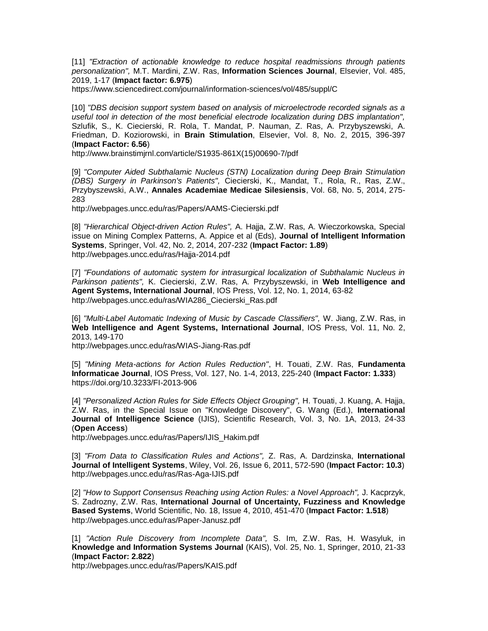[11] *"Extraction of actionable knowledge to reduce hospital readmissions through patients personalization",* M.T. Mardini, Z.W. Ras, **Information Sciences Journal**, Elsevier, Vol. 485, 2019, 1-17 (**Impact factor: 6.975**)

https://www.sciencedirect.com/journal/information-sciences/vol/485/suppl/C

[10] *"DBS decision support system based on analysis of microelectrode recorded signals as a useful tool in detection of the most beneficial electrode localization during DBS implantation",* Szlufik, S., K. Ciecierski, R. Rola, T. Mandat, P. Nauman, Z. Ras, A. Przybyszewski, A. Friedman, D. Koziorowski, in **Brain Stimulation**, Elsevier, Vol. 8, No. 2, 2015, 396-397 (**Impact Factor: 6.56**)

http://www.brainstimjrnl.com/article/S1935-861X(15)00690-7/pdf

[9] *"Computer Aided Subthalamic Nucleus (STN) Localization during Deep Brain Stimulation (DBS) Surgery in Parkinson's Patients",* Ciecierski, K., Mandat, T., Rola, R., Ras, Z.W., Przybyszewski, A.W., **Annales Academiae Medicae Silesiensis**, Vol. 68, No. 5, 2014, 275- 283

http://webpages.uncc.edu/ras/Papers/AAMS-Ciecierski.pdf

[8] *"Hierarchical Object-driven Action Rules",* A. Hajja, Z.W. Ras, A. Wieczorkowska, Special issue on Mining Complex Patterns, A. Appice et al (Eds), **Journal of Intelligent Information Systems**, Springer, Vol. 42, No. 2, 2014, 207-232 (**Impact Factor: 1.89**) http://webpages.uncc.edu/ras/Hajja-2014.pdf

[7] *"Foundations of automatic system for intrasurgical localization of Subthalamic Nucleus in Parkinson patients",* K. Ciecierski, Z.W. Ras, A. Przybyszewski, in **Web Intelligence and Agent Systems, International Journal**, IOS Press, Vol. 12, No. 1, 2014, 63-82 http://webpages.uncc.edu/ras/WIA286\_Ciecierski\_Ras.pdf

[6] *"Multi-Label Automatic Indexing of Music by Cascade Classifiers",* W. Jiang, Z.W. Ras, in **Web Intelligence and Agent Systems, International Journal**, IOS Press, Vol. 11, No. 2, 2013, 149-170

http://webpages.uncc.edu/ras/WIAS-Jiang-Ras.pdf

[5] *"Mining Meta-actions for Action Rules Reduction"*, H. Touati, Z.W. Ras, **Fundamenta Informaticae Journal**, IOS Press, Vol. 127, No. 1-4, 2013, 225-240 (**Impact Factor: 1.333**) https://doi.org/10.3233/FI-2013-906

[4] *"Personalized Action Rules for Side Effects Object Grouping",* H. Touati, J. Kuang, A. Hajja, Z.W. Ras, in the Special Issue on "Knowledge Discovery", G. Wang (Ed.), **International Journal of Intelligence Science** (IJIS), Scientific Research, Vol. 3, No. 1A, 2013, 24-33 (**Open Access**)

http://webpages.uncc.edu/ras/Papers/IJIS\_Hakim.pdf

[3] *"From Data to Classification Rules and Actions",* Z. Ras, A. Dardzinska, **International Journal of Intelligent Systems**, Wiley, Vol. 26, Issue 6, 2011, 572-590 (**Impact Factor: 10.3**) http://webpages.uncc.edu/ras/Ras-Aga-IJIS.pdf

[2] *"How to Support Consensus Reaching using Action Rules: a Novel Approach",* J. Kacprzyk, S. Zadrozny, Z.W. Ras, **International Journal of Uncertainty, Fuzziness and Knowledge Based Systems**, World Scientific, No. 18, Issue 4, 2010, 451-470 (**Impact Factor: 1.518**) http://webpages.uncc.edu/ras/Paper-Janusz.pdf

[1] *"Action Rule Discovery from Incomplete Data",* S. Im, Z.W. Ras, H. Wasyluk, in **Knowledge and Information Systems Journal** (KAIS), Vol. 25, No. 1, Springer, 2010, 21-33 (**Impact Factor: 2.822**)

http://webpages.uncc.edu/ras/Papers/KAIS.pdf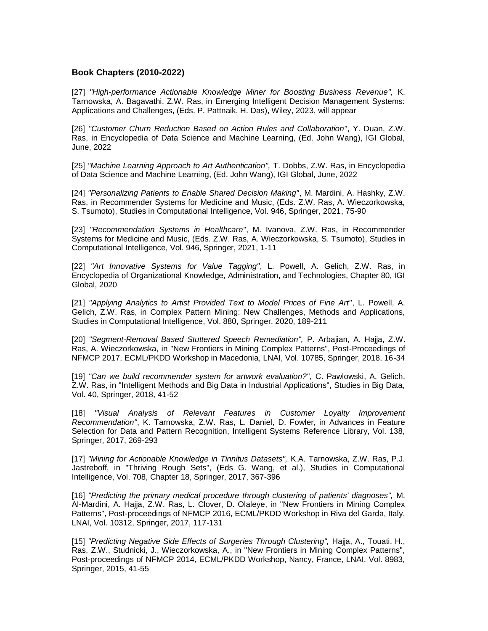# **Book Chapters (2010-2022)**

[27] *"High-performance Actionable Knowledge Miner for Boosting Business Revenue",* K. Tarnowska, A. Bagavathi, Z.W. Ras, in Emerging Intelligent Decision Management Systems: Applications and Challenges, (Eds. P. Pattnaik, H. Das), Wiley, 2023, will appear

[26] *"Customer Churn Reduction Based on Action Rules and Collaboration"*, Y. Duan, Z.W. Ras, in Encyclopedia of Data Science and Machine Learning, (Ed. John Wang), IGI Global, June, 2022

[25] *"Machine Learning Approach to Art Authentication",* T. Dobbs, Z.W. Ras, in Encyclopedia of Data Science and Machine Learning, (Ed. John Wang), IGI Global, June, 2022

[24] *"Personalizing Patients to Enable Shared Decision Making"*, M. Mardini, A. Hashky, Z.W. Ras, in Recommender Systems for Medicine and Music, (Eds. Z.W. Ras, A. Wieczorkowska, S. Tsumoto), Studies in Computational Intelligence, Vol. 946, Springer, 2021, 75-90

[23] *"Recommendation Systems in Healthcare"*, M. Ivanova, Z.W. Ras, in Recommender Systems for Medicine and Music, (Eds. Z.W. Ras, A. Wieczorkowska, S. Tsumoto), Studies in Computational Intelligence, Vol. 946, Springer, 2021, 1-11

[22] *"Art Innovative Systems for Value Tagging"*, L. Powell, A. Gelich, Z.W. Ras, in Encyclopedia of Organizational Knowledge, Administration, and Technologies, Chapter 80, IGI Global, 2020

[21] *"Applying Analytics to Artist Provided Text to Model Prices of Fine Art"*, L. Powell, A. Gelich, Z.W. Ras, in Complex Pattern Mining: New Challenges, Methods and Applications, Studies in Computational Intelligence, Vol. 880, Springer, 2020, 189-211

[20] *"Segment-Removal Based Stuttered Speech Remediation",* P. Arbajian, A. Hajja, Z.W. Ras, A. Wieczorkowska, in "New Frontiers in Mining Complex Patterns", Post-Proceedings of NFMCP 2017, ECML/PKDD Workshop in Macedonia, LNAI, Vol. 10785, Springer, 2018, 16-34

[19] *"Can we build recommender system for artwork evaluation?",* C. Pawlowski, A. Gelich, Z.W. Ras, in "Intelligent Methods and Big Data in Industrial Applications", Studies in Big Data, Vol. 40, Springer, 2018, 41-52

[18] *"Visual Analysis of Relevant Features in Customer Loyalty Improvement Recommendation"*, K. Tarnowska, Z.W. Ras, L. Daniel, D. Fowler, in Advances in Feature Selection for Data and Pattern Recognition, Intelligent Systems Reference Library, Vol. 138, Springer, 2017, 269-293

[17] *"Mining for Actionable Knowledge in Tinnitus Datasets",* K.A. Tarnowska, Z.W. Ras, P.J. Jastreboff, in "Thriving Rough Sets", (Eds G. Wang, et al.), Studies in Computational Intelligence, Vol. 708, Chapter 18, Springer, 2017, 367-396

[16] *"Predicting the primary medical procedure through clustering of patients' diagnoses",* M. Al-Mardini, A. Hajja, Z.W. Ras, L. Clover, D. Olaleye, in "New Frontiers in Mining Complex Patterns", Post-proceedings of NFMCP 2016, ECML/PKDD Workshop in Riva del Garda, Italy, LNAI, Vol. 10312, Springer, 2017, 117-131

[15] *"Predicting Negative Side Effects of Surgeries Through Clustering",* Hajja, A., Touati, H., Ras, Z.W., Studnicki, J., Wieczorkowska, A., in "New Frontiers in Mining Complex Patterns", Post-proceedings of NFMCP 2014, ECML/PKDD Workshop, Nancy, France, LNAI, Vol. 8983, Springer, 2015, 41-55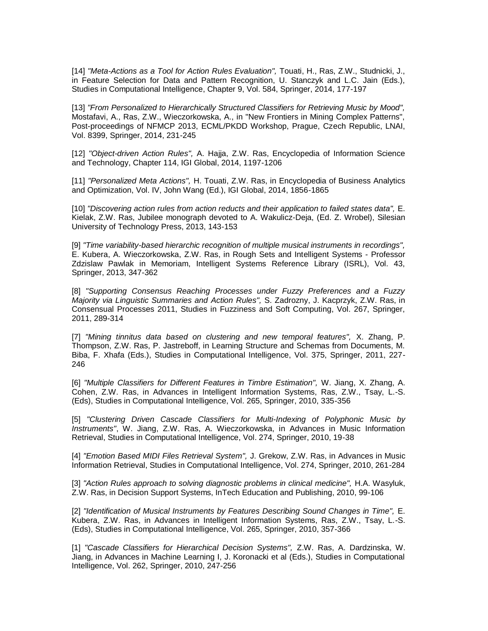[14] *"Meta-Actions as a Tool for Action Rules Evaluation",* Touati, H., Ras, Z.W., Studnicki, J., in Feature Selection for Data and Pattern Recognition, U. Stanczyk and L.C. Jain (Eds.), Studies in Computational Intelligence, Chapter 9, Vol. 584, Springer, 2014, 177-197

[13] *"From Personalized to Hierarchically Structured Classifiers for Retrieving Music by Mood",* Mostafavi, A., Ras, Z.W., Wieczorkowska, A., in "New Frontiers in Mining Complex Patterns", Post-proceedings of NFMCP 2013, ECML/PKDD Workshop, Prague, Czech Republic, LNAI, Vol. 8399, Springer, 2014, 231-245

[12] *"Object-driven Action Rules",* A. Hajja, Z.W. Ras, Encyclopedia of Information Science and Technology, Chapter 114, IGI Global, 2014, 1197-1206

[11] *"Personalized Meta Actions",* H. Touati, Z.W. Ras, in Encyclopedia of Business Analytics and Optimization, Vol. IV, John Wang (Ed.), IGI Global, 2014, 1856-1865

[10] *"Discovering action rules from action reducts and their application to failed states data",* E. Kielak, Z.W. Ras, Jubilee monograph devoted to A. Wakulicz-Deja, (Ed. Z. Wrobel), Silesian University of Technology Press, 2013, 143-153

[9] *"Time variability-based hierarchic recognition of multiple musical instruments in recordings",* E. Kubera, A. Wieczorkowska, Z.W. Ras, in Rough Sets and Intelligent Systems - Professor Zdzislaw Pawlak in Memoriam, Intelligent Systems Reference Library (ISRL), Vol. 43, Springer, 2013, 347-362

[8] *"Supporting Consensus Reaching Processes under Fuzzy Preferences and a Fuzzy Majority via Linguistic Summaries and Action Rules",* S. Zadrozny, J. Kacprzyk, Z.W. Ras, in Consensual Processes 2011, Studies in Fuzziness and Soft Computing, Vol. 267, Springer, 2011, 289-314

[7] *"Mining tinnitus data based on clustering and new temporal features",* X. Zhang, P. Thompson, Z.W. Ras, P. Jastreboff, in Learning Structure and Schemas from Documents, M. Biba, F. Xhafa (Eds.), Studies in Computational Intelligence, Vol. 375, Springer, 2011, 227- 246

[6] *"Multiple Classifiers for Different Features in Timbre Estimation",* W. Jiang, X. Zhang, A. Cohen, Z.W. Ras, in Advances in Intelligent Information Systems, Ras, Z.W., Tsay, L.-S. (Eds), Studies in Computational Intelligence, Vol. 265, Springer, 2010, 335-356

[5] *"Clustering Driven Cascade Classifiers for Multi-Indexing of Polyphonic Music by Instruments"*, W. Jiang, Z.W. Ras, A. Wieczorkowska, in Advances in Music Information Retrieval, Studies in Computational Intelligence, Vol. 274, Springer, 2010, 19-38

[4] *"Emotion Based MIDI Files Retrieval System",* J. Grekow, Z.W. Ras, in Advances in Music Information Retrieval, Studies in Computational Intelligence, Vol. 274, Springer, 2010, 261-284

[3] *"Action Rules approach to solving diagnostic problems in clinical medicine",* H.A. Wasyluk, Z.W. Ras, in Decision Support Systems, InTech Education and Publishing, 2010, 99-106

[2] *"Identification of Musical Instruments by Features Describing Sound Changes in Time",* E. Kubera, Z.W. Ras, in Advances in Intelligent Information Systems, Ras, Z.W., Tsay, L.-S. (Eds), Studies in Computational Intelligence, Vol. 265, Springer, 2010, 357-366

[1] *"Cascade Classifiers for Hierarchical Decision Systems",* Z.W. Ras, A. Dardzinska, W. Jiang, in Advances in Machine Learning I, J. Koronacki et al (Eds.), Studies in Computational Intelligence, Vol. 262, Springer, 2010, 247-256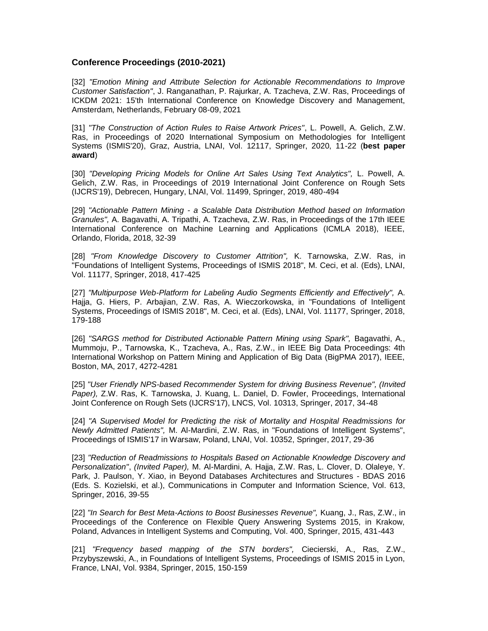# **Conference Proceedings (2010-2021)**

[32] "Emotion Mining and Attribute Selection for Actionable Recommendations to Improve *Customer Satisfaction"*, J. Ranganathan, P. Rajurkar, A. Tzacheva, Z.W. Ras, Proceedings of ICKDM 2021: 15'th International Conference on Knowledge Discovery and Management, Amsterdam, Netherlands, February 08-09, 2021

[31] *"The Construction of Action Rules to Raise Artwork Prices"*, L. Powell, A. Gelich, Z.W. Ras, in Proceedings of 2020 International Symposium on Methodologies for Intelligent Systems (ISMIS'20), Graz, Austria, LNAI, Vol. 12117, Springer, 2020, 11-22 (**best paper award**)

[30] *"Developing Pricing Models for Online Art Sales Using Text Analytics",* L. Powell, A. Gelich, Z.W. Ras, in Proceedings of 2019 International Joint Conference on Rough Sets (IJCRS'19), Debrecen, Hungary, LNAI, Vol. 11499, Springer, 2019, 480-494

[29] *"Actionable Pattern Mining - a Scalable Data Distribution Method based on Information Granules",* A. Bagavathi, A. Tripathi, A. Tzacheva, Z.W. Ras, in Proceedings of the 17th IEEE International Conference on Machine Learning and Applications (ICMLA 2018), IEEE, Orlando, Florida, 2018, 32-39

[28] *"From Knowledge Discovery to Customer Attrition",* K. Tarnowska, Z.W. Ras, in "Foundations of Intelligent Systems, Proceedings of ISMIS 2018", M. Ceci, et al. (Eds), LNAI, Vol. 11177, Springer, 2018, 417-425

[27] *"Multipurpose Web-Platform for Labeling Audio Segments Efficiently and Effectively",* A. Hajja, G. Hiers, P. Arbajian, Z.W. Ras, A. Wieczorkowska, in "Foundations of Intelligent Systems, Proceedings of ISMIS 2018", M. Ceci, et al. (Eds), LNAI, Vol. 11177, Springer, 2018, 179-188

[26] *"SARGS method for Distributed Actionable Pattern Mining using Spark",* Bagavathi, A., Mummoju, P., Tarnowska, K., Tzacheva, A., Ras, Z.W., in IEEE Big Data Proceedings: 4th International Workshop on Pattern Mining and Application of Big Data (BigPMA 2017), IEEE, Boston, MA, 2017, 4272-4281

[25] *"User Friendly NPS-based Recommender System for driving Business Revenue", (Invited Paper),* Z.W. Ras, K. Tarnowska, J. Kuang, L. Daniel, D. Fowler, Proceedings, International Joint Conference on Rough Sets (IJCRS'17), LNCS, Vol. 10313, Springer, 2017, 34-48

[24] "A Supervised Model for Predicting the risk of Mortality and Hospital Readmissions for *Newly Admitted Patients",* M. Al-Mardini, Z.W. Ras, in "Foundations of Intelligent Systems", Proceedings of ISMIS'17 in Warsaw, Poland, LNAI, Vol. 10352, Springer, 2017, 29-36

[23] *"Reduction of Readmissions to Hospitals Based on Actionable Knowledge Discovery and Personalization"*, *(Invited Paper),* M. Al-Mardini, A. Hajja, Z.W. Ras, L. Clover, D. Olaleye, Y. Park, J. Paulson, Y. Xiao, in Beyond Databases Architectures and Structures - BDAS 2016 (Eds. S. Kozielski, et al.), Communications in Computer and Information Science, Vol. 613, Springer, 2016, 39-55

[22] *"In Search for Best Meta-Actions to Boost Businesses Revenue",* Kuang, J., Ras, Z.W., in Proceedings of the Conference on Flexible Query Answering Systems 2015, in Krakow, Poland, Advances in Intelligent Systems and Computing, Vol. 400, Springer, 2015, 431-443

[21] *"Frequency based mapping of the STN borders",* Ciecierski, A., Ras, Z.W., Przybyszewski, A., in Foundations of Intelligent Systems, Proceedings of ISMIS 2015 in Lyon, France, LNAI, Vol. 9384, Springer, 2015, 150-159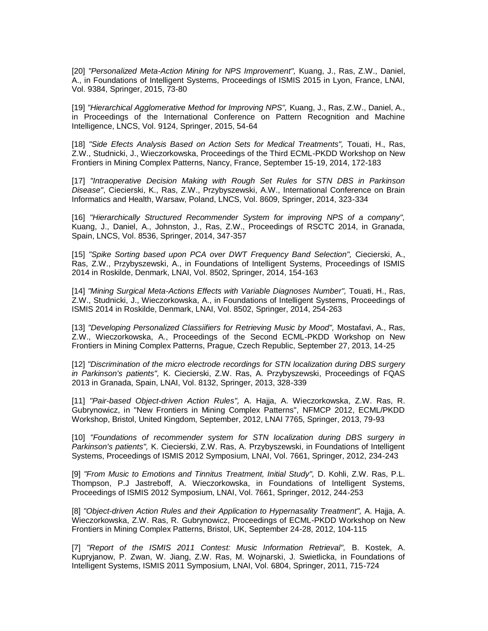[20] *"Personalized Meta-Action Mining for NPS Improvement",* Kuang, J., Ras, Z.W., Daniel, A., in Foundations of Intelligent Systems, Proceedings of ISMIS 2015 in Lyon, France, LNAI, Vol. 9384, Springer, 2015, 73-80

[19] *"Hierarchical Agglomerative Method for Improving NPS",* Kuang, J., Ras, Z.W., Daniel, A., in Proceedings of the International Conference on Pattern Recognition and Machine Intelligence, LNCS, Vol. 9124, Springer, 2015, 54-64

[18] *"Side Efects Analysis Based on Action Sets for Medical Treatments",* Touati, H., Ras, Z.W., Studnicki, J., Wieczorkowska, Proceedings of the Third ECML-PKDD Workshop on New Frontiers in Mining Complex Patterns, Nancy, France, September 15-19, 2014, 172-183

[17] *"Intraoperative Decision Making with Rough Set Rules for STN DBS in Parkinson Disease"*, Ciecierski, K., Ras, Z.W., Przybyszewski, A.W., International Conference on Brain Informatics and Health, Warsaw, Poland, LNCS, Vol. 8609, Springer, 2014, 323-334

[16] *"Hierarchically Structured Recommender System for improving NPS of a company",* Kuang, J., Daniel, A., Johnston, J., Ras, Z.W., Proceedings of RSCTC 2014, in Granada, Spain, LNCS, Vol. 8536, Springer, 2014, 347-357

[15] *"Spike Sorting based upon PCA over DWT Frequency Band Selection",* Ciecierski, A., Ras, Z.W., Przybyszewski, A., in Foundations of Intelligent Systems, Proceedings of ISMIS 2014 in Roskilde, Denmark, LNAI, Vol. 8502, Springer, 2014, 154-163

[14] *"Mining Surgical Meta-Actions Effects with Variable Diagnoses Number",* Touati, H., Ras, Z.W., Studnicki, J., Wieczorkowska, A., in Foundations of Intelligent Systems, Proceedings of ISMIS 2014 in Roskilde, Denmark, LNAI, Vol. 8502, Springer, 2014, 254-263

[13] *"Developing Personalized Classiifiers for Retrieving Music by Mood",* Mostafavi, A., Ras, Z.W., Wieczorkowska, A., Proceedings of the Second ECML-PKDD Workshop on New Frontiers in Mining Complex Patterns, Prague, Czech Republic, September 27, 2013, 14-25

[12] *"Discrimination of the micro electrode recordings for STN localization during DBS surgery in Parkinson's patients",* K. Ciecierski, Z.W. Ras, A. Przybyszewski, Proceedings of FQAS 2013 in Granada, Spain, LNAI, Vol. 8132, Springer, 2013, 328-339

[11] *"Pair-based Object-driven Action Rules",* A. Hajja, A. Wieczorkowska, Z.W. Ras, R. Gubrynowicz, in "New Frontiers in Mining Complex Patterns", NFMCP 2012, ECML/PKDD Workshop, Bristol, United Kingdom, September, 2012, LNAI 7765, Springer, 2013, 79-93

[10] *"Foundations of recommender system for STN localization during DBS surgery in Parkinson's patients",* K. Ciecierski, Z.W. Ras, A. Przybyszewski, in Foundations of Intelligent Systems, Proceedings of ISMIS 2012 Symposium, LNAI, Vol. 7661, Springer, 2012, 234-243

[9] *"From Music to Emotions and Tinnitus Treatment, Initial Study",* D. Kohli, Z.W. Ras, P.L. Thompson, P.J Jastreboff, A. Wieczorkowska, in Foundations of Intelligent Systems, Proceedings of ISMIS 2012 Symposium, LNAI, Vol. 7661, Springer, 2012, 244-253

[8] *"Object-driven Action Rules and their Application to Hypernasality Treatment",* A. Hajja, A. Wieczorkowska, Z.W. Ras, R. Gubrynowicz, Proceedings of ECML-PKDD Workshop on New Frontiers in Mining Complex Patterns, Bristol, UK, September 24-28, 2012, 104-115

[7] *"Report of the ISMIS 2011 Contest: Music Information Retrieval",* B. Kostek, A. Kupryjanow, P. Zwan, W. Jiang, Z.W. Ras, M. Wojnarski, J. Swietlicka, in Foundations of Intelligent Systems, ISMIS 2011 Symposium, LNAI, Vol. 6804, Springer, 2011, 715-724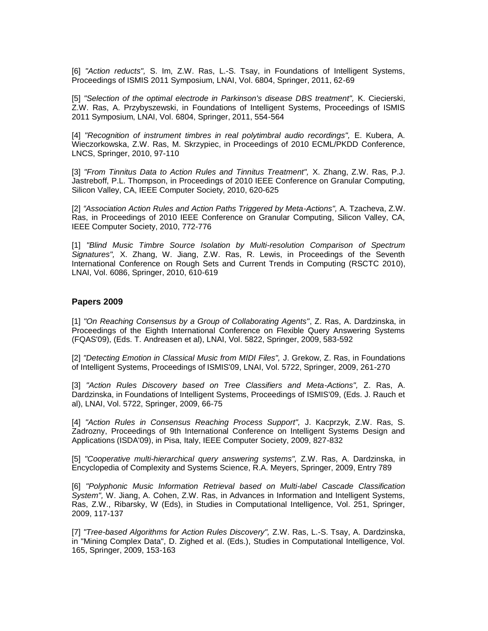[6] *"Action reducts",* S. Im, Z.W. Ras, L.-S. Tsay, in Foundations of Intelligent Systems, Proceedings of ISMIS 2011 Symposium, LNAI, Vol. 6804, Springer, 2011, 62-69

[5] *"Selection of the optimal electrode in Parkinson's disease DBS treatment",* K. Ciecierski, Z.W. Ras, A. Przybyszewski, in Foundations of Intelligent Systems, Proceedings of ISMIS 2011 Symposium, LNAI, Vol. 6804, Springer, 2011, 554-564

[4] *"Recognition of instrument timbres in real polytimbral audio recordings",* E. Kubera, A. Wieczorkowska, Z.W. Ras, M. Skrzypiec, in Proceedings of 2010 ECML/PKDD Conference, LNCS, Springer, 2010, 97-110

[3] *"From Tinnitus Data to Action Rules and Tinnitus Treatment",* X. Zhang, Z.W. Ras, P.J. Jastreboff, P.L. Thompson, in Proceedings of 2010 IEEE Conference on Granular Computing, Silicon Valley, CA, IEEE Computer Society, 2010, 620-625

[2] *"Association Action Rules and Action Paths Triggered by Meta-Actions",* A. Tzacheva, Z.W. Ras, in Proceedings of 2010 IEEE Conference on Granular Computing, Silicon Valley, CA, IEEE Computer Society, 2010, 772-776

[1] *"Blind Music Timbre Source Isolation by Multi-resolution Comparison of Spectrum Signatures",* X. Zhang, W. Jiang, Z.W. Ras, R. Lewis, in Proceedings of the Seventh International Conference on Rough Sets and Current Trends in Computing (RSCTC 2010), LNAI, Vol. 6086, Springer, 2010, 610-619

## **Papers 2009**

[1] *"On Reaching Consensus by a Group of Collaborating Agents"*, Z. Ras, A. Dardzinska, in Proceedings of the Eighth International Conference on Flexible Query Answering Systems (FQAS'09), (Eds. T. Andreasen et al), LNAI, Vol. 5822, Springer, 2009, 583-592

[2] *"Detecting Emotion in Classical Music from MIDI Files",* J. Grekow, Z. Ras, in Foundations of Intelligent Systems, Proceedings of ISMIS'09, LNAI, Vol. 5722, Springer, 2009, 261-270

[3] *"Action Rules Discovery based on Tree Classifiers and Meta-Actions",* Z. Ras, A. Dardzinska, in Foundations of Intelligent Systems, Proceedings of ISMIS'09, (Eds. J. Rauch et al), LNAI, Vol. 5722, Springer, 2009, 66-75

[4] *"Action Rules in Consensus Reaching Process Support",* J. Kacprzyk, Z.W. Ras, S. Zadrozny, Proceedings of 9th International Conference on Intelligent Systems Design and Applications (ISDA'09), in Pisa, Italy, IEEE Computer Society, 2009, 827-832

[5] *"Cooperative multi-hierarchical query answering systems",* Z.W. Ras, A. Dardzinska, in Encyclopedia of Complexity and Systems Science, R.A. Meyers, Springer, 2009, Entry 789

[6] *"Polyphonic Music Information Retrieval based on Multi-label Cascade Classification System",* W. Jiang, A. Cohen, Z.W. Ras, in Advances in Information and Intelligent Systems, Ras, Z.W., Ribarsky, W (Eds), in Studies in Computational Intelligence, Vol. 251, Springer, 2009, 117-137

[7] *"Tree-based Algorithms for Action Rules Discovery",* Z.W. Ras, L.-S. Tsay, A. Dardzinska, in "Mining Complex Data", D. Zighed et al. (Eds.), Studies in Computational Intelligence, Vol. 165, Springer, 2009, 153-163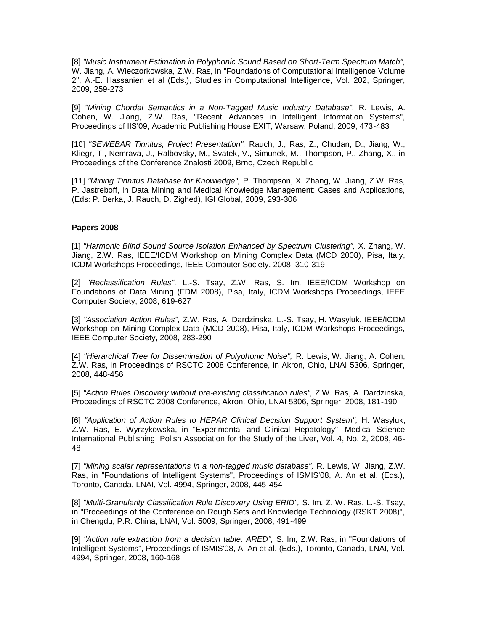[8] *"Music Instrument Estimation in Polyphonic Sound Based on Short-Term Spectrum Match",* W. Jiang, A. Wieczorkowska, Z.W. Ras, in "Foundations of Computational Intelligence Volume 2", A.-E. Hassanien et al (Eds.), Studies in Computational Intelligence, Vol. 202, Springer, 2009, 259-273

[9] *"Mining Chordal Semantics in a Non-Tagged Music Industry Database",* R. Lewis, A. Cohen, W. Jiang, Z.W. Ras, "Recent Advances in Intelligent Information Systems", Proceedings of IIS'09, Academic Publishing House EXIT, Warsaw, Poland, 2009, 473-483

[10] *"SEWEBAR Tinnitus, Project Presentation",* Rauch, J., Ras, Z., Chudan, D., Jiang, W., Kliegr, T., Nemrava, J., Ralbovsky, M., Svatek, V., Simunek, M., Thompson, P., Zhang, X., in Proceedings of the Conference Znalosti 2009, Brno, Czech Republic

[11] *"Mining Tinnitus Database for Knowledge",* P. Thompson, X. Zhang, W. Jiang, Z.W. Ras, P. Jastreboff, in Data Mining and Medical Knowledge Management: Cases and Applications, (Eds: P. Berka, J. Rauch, D. Zighed), IGI Global, 2009, 293-306

#### **Papers 2008**

[1] *"Harmonic Blind Sound Source Isolation Enhanced by Spectrum Clustering",* X. Zhang, W. Jiang, Z.W. Ras, IEEE/ICDM Workshop on Mining Complex Data (MCD 2008), Pisa, Italy, ICDM Workshops Proceedings, IEEE Computer Society, 2008, 310-319

[2] *"Reclassification Rules",* L.-S. Tsay, Z.W. Ras, S. Im, IEEE/ICDM Workshop on Foundations of Data Mining (FDM 2008), Pisa, Italy, ICDM Workshops Proceedings, IEEE Computer Society, 2008, 619-627

[3] *"Association Action Rules",* Z.W. Ras, A. Dardzinska, L.-S. Tsay, H. Wasyluk, IEEE/ICDM Workshop on Mining Complex Data (MCD 2008), Pisa, Italy, ICDM Workshops Proceedings, IEEE Computer Society, 2008, 283-290

[4] *"Hierarchical Tree for Dissemination of Polyphonic Noise",* R. Lewis, W. Jiang, A. Cohen, Z.W. Ras, in Proceedings of RSCTC 2008 Conference, in Akron, Ohio, LNAI 5306, Springer, 2008, 448-456

[5] *"Action Rules Discovery without pre-existing classification rules",* Z.W. Ras, A. Dardzinska, Proceedings of RSCTC 2008 Conference, Akron, Ohio, LNAI 5306, Springer, 2008, 181-190

[6] *"Application of Action Rules to HEPAR Clinical Decision Support System",* H. Wasyluk, Z.W. Ras, E. Wyrzykowska, in "Experimental and Clinical Hepatology", Medical Science International Publishing, Polish Association for the Study of the Liver, Vol. 4, No. 2, 2008, 46- 48

[7] *"Mining scalar representations in a non-tagged music database",* R. Lewis, W. Jiang, Z.W. Ras, in "Foundations of Intelligent Systems", Proceedings of ISMIS'08, A. An et al. (Eds.), Toronto, Canada, LNAI, Vol. 4994, Springer, 2008, 445-454

[8] *"Multi-Granularity Classification Rule Discovery Using ERID",* S. Im, Z. W. Ras, L.-S. Tsay, in "Proceedings of the Conference on Rough Sets and Knowledge Technology (RSKT 2008)", in Chengdu, P.R. China, LNAI, Vol. 5009, Springer, 2008, 491-499

[9] *"Action rule extraction from a decision table: ARED",* S. Im, Z.W. Ras, in "Foundations of Intelligent Systems", Proceedings of ISMIS'08, A. An et al. (Eds.), Toronto, Canada, LNAI, Vol. 4994, Springer, 2008, 160-168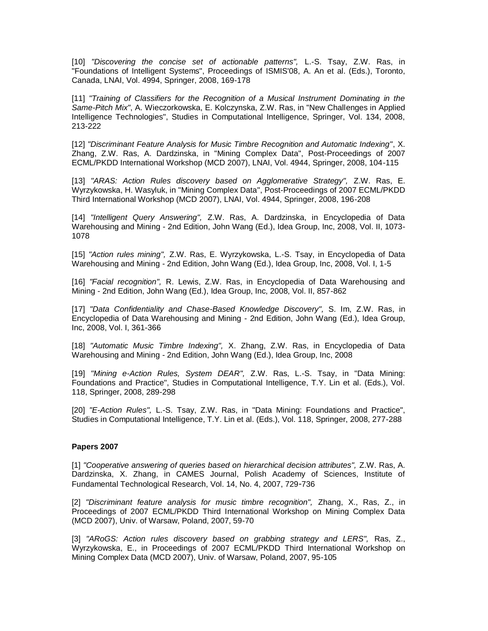[10] *"Discovering the concise set of actionable patterns",* L.-S. Tsay, Z.W. Ras, in "Foundations of Intelligent Systems", Proceedings of ISMIS'08, A. An et al. (Eds.), Toronto, Canada, LNAI, Vol. 4994, Springer, 2008, 169-178

[11] *"Training of Classifiers for the Recognition of a Musical Instrument Dominating in the Same-Pitch Mix"*, A. Wieczorkowska, E. Kolczynska, Z.W. Ras, in "New Challenges in Applied Intelligence Technologies", Studies in Computational Intelligence, Springer, Vol. 134, 2008, 213-222

[12] *"Discriminant Feature Analysis for Music Timbre Recognition and Automatic Indexing"*, X. Zhang, Z.W. Ras, A. Dardzinska, in "Mining Complex Data", Post-Proceedings of 2007 ECML/PKDD International Workshop (MCD 2007), LNAI, Vol. 4944, Springer, 2008, 104-115

[13] *"ARAS: Action Rules discovery based on Agglomerative Strategy",* Z.W. Ras, E. Wyrzykowska, H. Wasyluk, in "Mining Complex Data", Post-Proceedings of 2007 ECML/PKDD Third International Workshop (MCD 2007), LNAI, Vol. 4944, Springer, 2008, 196-208

[14] *"Intelligent Query Answering",* Z.W. Ras, A. Dardzinska, in Encyclopedia of Data Warehousing and Mining - 2nd Edition, John Wang (Ed.), Idea Group, Inc, 2008, Vol. II, 1073- 1078

[15] *"Action rules mining",* Z.W. Ras, E. Wyrzykowska, L.-S. Tsay, in Encyclopedia of Data Warehousing and Mining - 2nd Edition, John Wang (Ed.), Idea Group, Inc, 2008, Vol. I, 1-5

[16] *"Facial recognition",* R. Lewis, Z.W. Ras, in Encyclopedia of Data Warehousing and Mining - 2nd Edition, John Wang (Ed.), Idea Group, Inc, 2008, Vol. II, 857-862

[17] *"Data Confidentiality and Chase-Based Knowledge Discovery",* S. Im, Z.W. Ras, in Encyclopedia of Data Warehousing and Mining - 2nd Edition, John Wang (Ed.), Idea Group, Inc, 2008, Vol. I, 361-366

[18] *"Automatic Music Timbre Indexing",* X. Zhang, Z.W. Ras, in Encyclopedia of Data Warehousing and Mining - 2nd Edition, John Wang (Ed.), Idea Group, Inc, 2008

[19] *"Mining e-Action Rules, System DEAR",* Z.W. Ras, L.-S. Tsay, in "Data Mining: Foundations and Practice", Studies in Computational Intelligence, T.Y. Lin et al. (Eds.), Vol. 118, Springer, 2008, 289-298

[20] *"E-Action Rules",* L.-S. Tsay, Z.W. Ras, in "Data Mining: Foundations and Practice", Studies in Computational Intelligence, T.Y. Lin et al. (Eds.), Vol. 118, Springer, 2008, 277-288

## **Papers 2007**

[1] *"Cooperative answering of queries based on hierarchical decision attributes",* Z.W. Ras, A. Dardzinska, X. Zhang, in CAMES Journal, Polish Academy of Sciences, Institute of Fundamental Technological Research, Vol. 14, No. 4, 2007, 729-736

[2] *"Discriminant feature analysis for music timbre recognition",* Zhang, X., Ras, Z., in Proceedings of 2007 ECML/PKDD Third International Workshop on Mining Complex Data (MCD 2007), Univ. of Warsaw, Poland, 2007, 59-70

[3] *"ARoGS: Action rules discovery based on grabbing strategy and LERS",* Ras, Z., Wyrzykowska, E., in Proceedings of 2007 ECML/PKDD Third International Workshop on Mining Complex Data (MCD 2007), Univ. of Warsaw, Poland, 2007, 95-105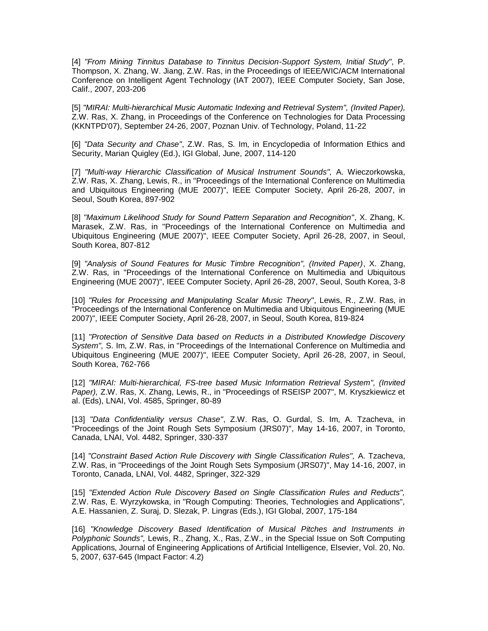[4] *"From Mining Tinnitus Database to Tinnitus Decision-Support System, Initial Study"*, P. Thompson, X. Zhang, W. Jiang, Z.W. Ras, in the Proceedings of IEEE/WIC/ACM International Conference on Intelligent Agent Technology (IAT 2007), IEEE Computer Society, San Jose, Calif., 2007, 203-206

[5] *"MIRAI: Multi-hierarchical Music Automatic Indexing and Retrieval System", (Invited Paper),* Z.W. Ras, X. Zhang, in Proceedings of the Conference on Technologies for Data Processing (KKNTPD'07), September 24-26, 2007, Poznan Univ. of Technology, Poland, 11-22

[6] *"Data Security and Chase"*, Z.W. Ras, S. Im, in Encyclopedia of Information Ethics and Security, Marian Quigley (Ed.), IGI Global, June, 2007, 114-120

[7] *"Multi-way Hierarchic Classification of Musical Instrument Sounds",* A. Wieczorkowska, Z.W. Ras, X. Zhang, Lewis, R., in "Proceedings of the International Conference on Multimedia and Ubiquitous Engineering (MUE 2007)", IEEE Computer Society, April 26-28, 2007, in Seoul, South Korea, 897-902

[8] *"Maximum Likelihood Study for Sound Pattern Separation and Recognition"*, X. Zhang, K. Marasek, Z.W. Ras, in "Proceedings of the International Conference on Multimedia and Ubiquitous Engineering (MUE 2007)", IEEE Computer Society, April 26-28, 2007, in Seoul, South Korea, 807-812

[9] *"Analysis of Sound Features for Music Timbre Recognition", (Invited Paper)*, X. Zhang, Z.W. Ras, in "Proceedings of the International Conference on Multimedia and Ubiquitous Engineering (MUE 2007)", IEEE Computer Society, April 26-28, 2007, Seoul, South Korea, 3-8

[10] *"Rules for Processing and Manipulating Scalar Music Theory"*, Lewis, R., Z.W. Ras, in "Proceedings of the International Conference on Multimedia and Ubiquitous Engineering (MUE 2007)", IEEE Computer Society, April 26-28, 2007, in Seoul, South Korea, 819-824

[11] *"Protection of Sensitive Data based on Reducts in a Distributed Knowledge Discovery System",* S. Im, Z.W. Ras, in "Proceedings of the International Conference on Multimedia and Ubiquitous Engineering (MUE 2007)", IEEE Computer Society, April 26-28, 2007, in Seoul, South Korea, 762-766

[12] *"MIRAI: Multi-hierarchical, FS-tree based Music Information Retrieval System", (Invited Paper),* Z.W. Ras, X. Zhang, Lewis, R., in "Proceedings of RSEISP 2007", M. Kryszkiewicz et al. (Eds), LNAI, Vol. 4585, Springer, 80-89

[13] *"Data Confidentiality versus Chase"*, Z.W. Ras, O. Gurdal, S. Im, A. Tzacheva, in "Proceedings of the Joint Rough Sets Symposium (JRS07)", May 14-16, 2007, in Toronto, Canada, LNAI, Vol. 4482, Springer, 330-337

[14] *"Constraint Based Action Rule Discovery with Single Classification Rules",* A. Tzacheva, Z.W. Ras, in "Proceedings of the Joint Rough Sets Symposium (JRS07)", May 14-16, 2007, in Toronto, Canada, LNAI, Vol. 4482, Springer, 322-329

[15] *"Extended Action Rule Discovery Based on Single Classification Rules and Reducts",* Z.W. Ras, E. Wyrzykowska, in "Rough Computing: Theories, Technologies and Applications", A.E. Hassanien, Z. Suraj, D. Slezak, P. Lingras (Eds.), IGI Global, 2007, 175-184

[16] *"Knowledge Discovery Based Identification of Musical Pitches and Instruments in Polyphonic Sounds",* Lewis, R., Zhang, X., Ras, Z.W., in the Special Issue on Soft Computing Applications, Journal of Engineering Applications of Artificial Intelligence, Elsevier, Vol. 20, No. 5, 2007, 637-645 (Impact Factor: 4.2)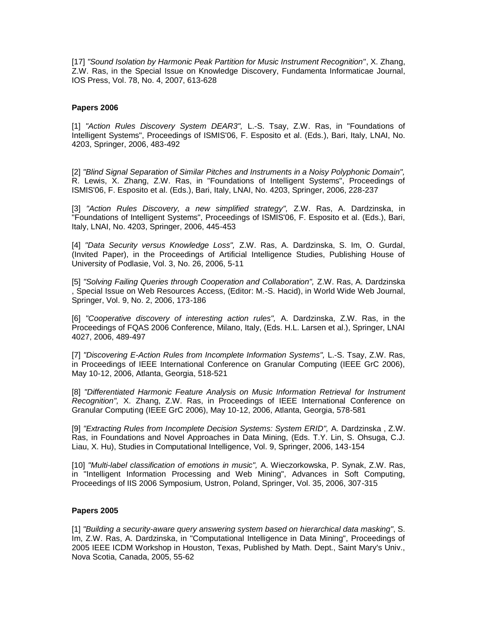[17] *"Sound Isolation by Harmonic Peak Partition for Music Instrument Recognition"*, X. Zhang, Z.W. Ras, in the Special Issue on Knowledge Discovery, Fundamenta Informaticae Journal, IOS Press, Vol. 78, No. 4, 2007, 613-628

#### **Papers 2006**

[1] *"Action Rules Discovery System DEAR3",* L.-S. Tsay, Z.W. Ras, in "Foundations of Intelligent Systems", Proceedings of ISMIS'06, F. Esposito et al. (Eds.), Bari, Italy, LNAI, No. 4203, Springer, 2006, 483-492

[2] *"Blind Signal Separation of Similar Pitches and Instruments in a Noisy Polyphonic Domain",* R. Lewis, X. Zhang, Z.W. Ras, in "Foundations of Intelligent Systems", Proceedings of ISMIS'06, F. Esposito et al. (Eds.), Bari, Italy, LNAI, No. 4203, Springer, 2006, 228-237

[3] *"Action Rules Discovery, a new simplified strategy",* Z.W. Ras, A. Dardzinska, in "Foundations of Intelligent Systems", Proceedings of ISMIS'06, F. Esposito et al. (Eds.), Bari, Italy, LNAI, No. 4203, Springer, 2006, 445-453

[4] *"Data Security versus Knowledge Loss",* Z.W. Ras, A. Dardzinska, S. Im, O. Gurdal, (Invited Paper), in the Proceedings of Artificial Intelligence Studies, Publishing House of University of Podlasie, Vol. 3, No. 26, 2006, 5-11

[5] *"Solving Failing Queries through Cooperation and Collaboration",* Z.W. Ras, A. Dardzinska , Special Issue on Web Resources Access, (Editor: M.-S. Hacid), in World Wide Web Journal, Springer, Vol. 9, No. 2, 2006, 173-186

[6] *"Cooperative discovery of interesting action rules",* A. Dardzinska, Z.W. Ras, in the Proceedings of FQAS 2006 Conference, Milano, Italy, (Eds. H.L. Larsen et al.), Springer, LNAI 4027, 2006, 489-497

[7] *"Discovering E-Action Rules from Incomplete Information Systems",* L.-S. Tsay, Z.W. Ras, in Proceedings of IEEE International Conference on Granular Computing (IEEE GrC 2006), May 10-12, 2006, Atlanta, Georgia, 518-521

[8] *"Differentiated Harmonic Feature Analysis on Music Information Retrieval for Instrument Recognition",* X. Zhang, Z.W. Ras, in Proceedings of IEEE International Conference on Granular Computing (IEEE GrC 2006), May 10-12, 2006, Atlanta, Georgia, 578-581

[9] *"Extracting Rules from Incomplete Decision Systems: System ERID",* A. Dardzinska , Z.W. Ras, in Foundations and Novel Approaches in Data Mining, (Eds. T.Y. Lin, S. Ohsuga, C.J. Liau, X. Hu), Studies in Computational Intelligence, Vol. 9, Springer, 2006, 143-154

[10] *"Multi-label classification of emotions in music",* A. Wieczorkowska, P. Synak, Z.W. Ras, in "Intelligent Information Processing and Web Mining", Advances in Soft Computing, Proceedings of IIS 2006 Symposium, Ustron, Poland, Springer, Vol. 35, 2006, 307-315

#### **Papers 2005**

[1] *"Building a security-aware query answering system based on hierarchical data masking"*, S. Im, Z.W. Ras, A. Dardzinska, in "Computational Intelligence in Data Mining", Proceedings of 2005 IEEE ICDM Workshop in Houston, Texas, Published by Math. Dept., Saint Mary's Univ., Nova Scotia, Canada, 2005, 55-62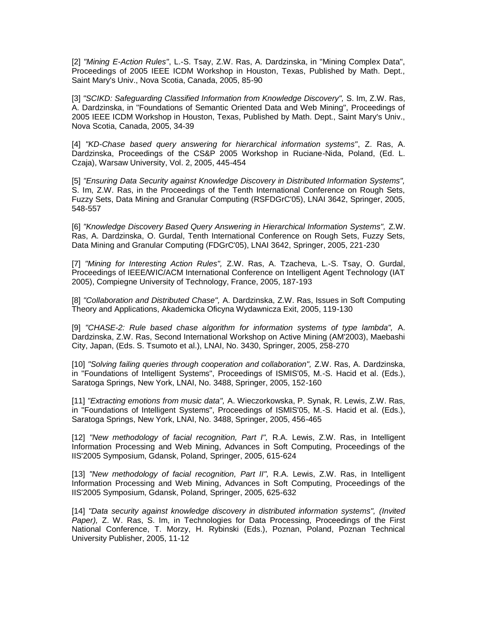[2] *"Mining E-Action Rules"*, L.-S. Tsay, Z.W. Ras, A. Dardzinska, in "Mining Complex Data", Proceedings of 2005 IEEE ICDM Workshop in Houston, Texas, Published by Math. Dept., Saint Mary's Univ., Nova Scotia, Canada, 2005, 85-90

[3] *"SCIKD: Safeguarding Classified Information from Knowledge Discovery",* S. Im, Z.W. Ras, A. Dardzinska, in "Foundations of Semantic Oriented Data and Web Mining", Proceedings of 2005 IEEE ICDM Workshop in Houston, Texas, Published by Math. Dept., Saint Mary's Univ., Nova Scotia, Canada, 2005, 34-39

[4] *"KD-Chase based query answering for hierarchical information systems"*, Z. Ras, A. Dardzinska, Proceedings of the CS&P 2005 Workshop in Ruciane-Nida, Poland, (Ed. L. Czaja), Warsaw University, Vol. 2, 2005, 445-454

[5] *"Ensuring Data Security against Knowledge Discovery in Distributed Information Systems",* S. Im, Z.W. Ras, in the Proceedings of the Tenth International Conference on Rough Sets, Fuzzy Sets, Data Mining and Granular Computing (RSFDGrC'05), LNAI 3642, Springer, 2005, 548-557

[6] *"Knowledge Discovery Based Query Answering in Hierarchical Information Systems",* Z.W. Ras, A. Dardzinska, O. Gurdal, Tenth International Conference on Rough Sets, Fuzzy Sets, Data Mining and Granular Computing (FDGrC'05), LNAI 3642, Springer, 2005, 221-230

[7] *"Mining for Interesting Action Rules",* Z.W. Ras, A. Tzacheva, L.-S. Tsay, O. Gurdal, Proceedings of IEEE/WIC/ACM International Conference on Intelligent Agent Technology (IAT 2005), Compiegne University of Technology, France, 2005, 187-193

[8] *"Collaboration and Distributed Chase",* A. Dardzinska, Z.W. Ras, Issues in Soft Computing Theory and Applications, Akademicka Oficyna Wydawnicza Exit, 2005, 119-130

[9] *"CHASE-2: Rule based chase algorithm for information systems of type lambda",* A. Dardzinska, Z.W. Ras, Second International Workshop on Active Mining (AM'2003), Maebashi City, Japan, (Eds. S. Tsumoto et al.), LNAI, No. 3430, Springer, 2005, 258-270

[10] *"Solving failing queries through cooperation and collaboration",* Z.W. Ras, A. Dardzinska, in "Foundations of Intelligent Systems", Proceedings of ISMIS'05, M.-S. Hacid et al. (Eds.), Saratoga Springs, New York, LNAI, No. 3488, Springer, 2005, 152-160

[11] *"Extracting emotions from music data",* A. Wieczorkowska, P. Synak, R. Lewis, Z.W. Ras, in "Foundations of Intelligent Systems", Proceedings of ISMIS'05, M.-S. Hacid et al. (Eds.), Saratoga Springs, New York, LNAI, No. 3488, Springer, 2005, 456-465

[12] *"New methodology of facial recognition, Part I",* R.A. Lewis, Z.W. Ras, in Intelligent Information Processing and Web Mining, Advances in Soft Computing, Proceedings of the IIS'2005 Symposium, Gdansk, Poland, Springer, 2005, 615-624

[13] *"New methodology of facial recognition, Part II",* R.A. Lewis, Z.W. Ras, in Intelligent Information Processing and Web Mining, Advances in Soft Computing, Proceedings of the IIS'2005 Symposium, Gdansk, Poland, Springer, 2005, 625-632

[14] *"Data security against knowledge discovery in distributed information systems", (Invited Paper),* Z. W. Ras, S. Im, in Technologies for Data Processing, Proceedings of the First National Conference, T. Morzy, H. Rybinski (Eds.), Poznan, Poland, Poznan Technical University Publisher, 2005, 11-12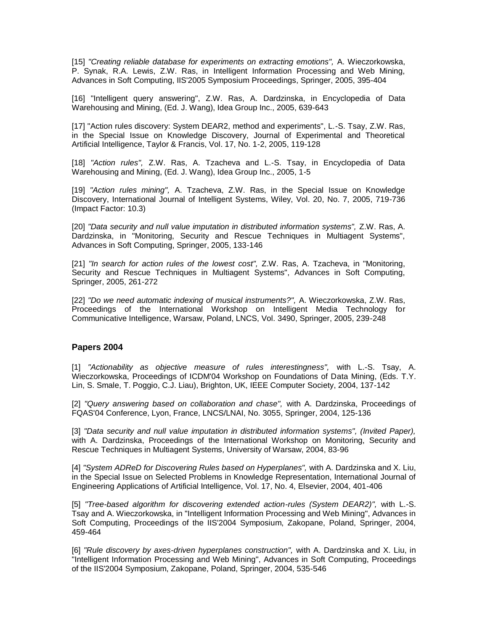[15] *"Creating reliable database for experiments on extracting emotions",* A. Wieczorkowska, P. Synak, R.A. Lewis, Z.W. Ras, in Intelligent Information Processing and Web Mining, Advances in Soft Computing, IIS'2005 Symposium Proceedings, Springer, 2005, 395-404

[16] "Intelligent query answering", Z.W. Ras, A. Dardzinska, in Encyclopedia of Data Warehousing and Mining, (Ed. J. Wang), Idea Group Inc., 2005, 639-643

[17] "Action rules discovery: System DEAR2, method and experiments", L.-S. Tsay, Z.W. Ras, in the Special Issue on Knowledge Discovery, Journal of Experimental and Theoretical Artificial Intelligence, Taylor & Francis, Vol. 17, No. 1-2, 2005, 119-128

[18] *"Action rules",* Z.W. Ras, A. Tzacheva and L.-S. Tsay, in Encyclopedia of Data Warehousing and Mining, (Ed. J. Wang), Idea Group Inc., 2005, 1-5

[19] *"Action rules mining",* A. Tzacheva, Z.W. Ras, in the Special Issue on Knowledge Discovery, International Journal of Intelligent Systems, Wiley, Vol. 20, No. 7, 2005, 719-736 (Impact Factor: 10.3)

[20] *"Data security and null value imputation in distributed information systems",* Z.W. Ras, A. Dardzinska, in "Monitoring, Security and Rescue Techniques in Multiagent Systems", Advances in Soft Computing, Springer, 2005, 133-146

[21] *"In search for action rules of the lowest cost",* Z.W. Ras, A. Tzacheva, in "Monitoring, Security and Rescue Techniques in Multiagent Systems", Advances in Soft Computing, Springer, 2005, 261-272

[22] *"Do we need automatic indexing of musical instruments?",* A. Wieczorkowska, Z.W. Ras, Proceedings of the International Workshop on Intelligent Media Technology for Communicative Intelligence, Warsaw, Poland, LNCS, Vol. 3490, Springer, 2005, 239-248

## **Papers 2004**

[1] *"Actionability as objective measure of rules interestingness",* with L.-S. Tsay, A. Wieczorkowska, Proceedings of ICDM'04 Workshop on Foundations of Data Mining, (Eds. T.Y. Lin, S. Smale, T. Poggio, C.J. Liau), Brighton, UK, IEEE Computer Society, 2004, 137-142

[2] *"Query answering based on collaboration and chase",* with A. Dardzinska, Proceedings of FQAS'04 Conference, Lyon, France, LNCS/LNAI, No. 3055, Springer, 2004, 125-136

[3] *"Data security and null value imputation in distributed information systems", (Invited Paper),* with A. Dardzinska, Proceedings of the International Workshop on Monitoring, Security and Rescue Techniques in Multiagent Systems, University of Warsaw, 2004, 83-96

[4] *"System ADReD for Discovering Rules based on Hyperplanes",* with A. Dardzinska and X. Liu, in the Special Issue on Selected Problems in Knowledge Representation, International Journal of Engineering Applications of Artificial Intelligence, Vol. 17, No. 4, Elsevier, 2004, 401-406

[5] *"Tree-based algorithm for discovering extended action-rules (System DEAR2)",* with L.-S. Tsay and A. Wieczorkowska, in "Intelligent Information Processing and Web Mining", Advances in Soft Computing, Proceedings of the IIS'2004 Symposium, Zakopane, Poland, Springer, 2004, 459-464

[6] *"Rule discovery by axes-driven hyperplanes construction",* with A. Dardzinska and X. Liu, in "Intelligent Information Processing and Web Mining", Advances in Soft Computing, Proceedings of the IIS'2004 Symposium, Zakopane, Poland, Springer, 2004, 535-546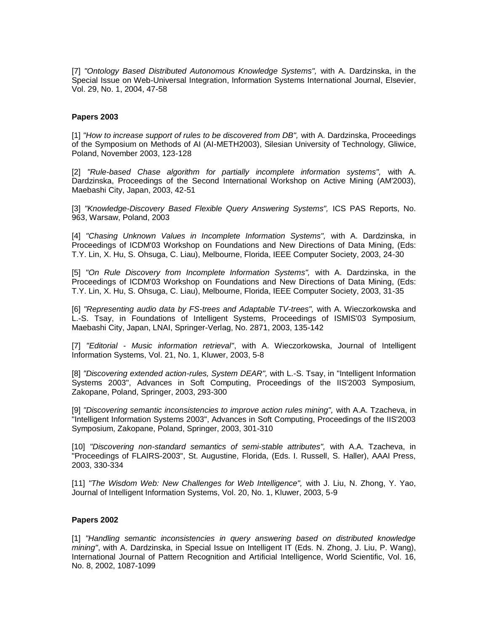[7] *"Ontology Based Distributed Autonomous Knowledge Systems",* with A. Dardzinska, in the Special Issue on Web-Universal Integration, Information Systems International Journal, Elsevier, Vol. 29, No. 1, 2004, 47-58

## **Papers 2003**

[1] *"How to increase support of rules to be discovered from DB",* with A. Dardzinska, Proceedings of the Symposium on Methods of AI (AI-METH2003), Silesian University of Technology, Gliwice, Poland, November 2003, 123-128

[2] *"Rule-based Chase algorithm for partially incomplete information systems",* with A. Dardzinska, Proceedings of the Second International Workshop on Active Mining (AM'2003), Maebashi City, Japan, 2003, 42-51

[3] *"Knowledge-Discovery Based Flexible Query Answering Systems",* ICS PAS Reports, No. 963, Warsaw, Poland, 2003

[4] *"Chasing Unknown Values in Incomplete Information Systems",* with A. Dardzinska, in Proceedings of ICDM'03 Workshop on Foundations and New Directions of Data Mining, (Eds: T.Y. Lin, X. Hu, S. Ohsuga, C. Liau), Melbourne, Florida, IEEE Computer Society, 2003, 24-30

[5] *"On Rule Discovery from Incomplete Information Systems",* with A. Dardzinska, in the Proceedings of ICDM'03 Workshop on Foundations and New Directions of Data Mining, (Eds: T.Y. Lin, X. Hu, S. Ohsuga, C. Liau), Melbourne, Florida, IEEE Computer Society, 2003, 31-35

[6] *"Representing audio data by FS-trees and Adaptable TV-trees",* with A. Wieczorkowska and L.-S. Tsay, in Foundations of Intelligent Systems, Proceedings of ISMIS'03 Symposium, Maebashi City, Japan, LNAI, Springer-Verlag, No. 2871, 2003, 135-142

[7] *"Editorial - Music information retrieval"*, with A. Wieczorkowska, Journal of Intelligent Information Systems, Vol. 21, No. 1, Kluwer, 2003, 5-8

[8] *"Discovering extended action-rules, System DEAR",* with L.-S. Tsay, in "Intelligent Information Systems 2003", Advances in Soft Computing, Proceedings of the IIS'2003 Symposium, Zakopane, Poland, Springer, 2003, 293-300

[9] *"Discovering semantic inconsistencies to improve action rules mining",* with A.A. Tzacheva, in "Intelligent Information Systems 2003", Advances in Soft Computing, Proceedings of the IIS'2003 Symposium, Zakopane, Poland, Springer, 2003, 301-310

[10] *"Discovering non-standard semantics of semi-stable attributes",* with A.A. Tzacheva, in "Proceedings of FLAIRS-2003", St. Augustine, Florida, (Eds. I. Russell, S. Haller), AAAI Press, 2003, 330-334

[11] *"The Wisdom Web: New Challenges for Web Intelligence",* with J. Liu, N. Zhong, Y. Yao, Journal of Intelligent Information Systems, Vol. 20, No. 1, Kluwer, 2003, 5-9

#### **Papers 2002**

[1] *"Handling semantic inconsistencies in query answering based on distributed knowledge mining"*, with A. Dardzinska, in Special Issue on Intelligent IT (Eds. N. Zhong, J. Liu, P. Wang), International Journal of Pattern Recognition and Artificial Intelligence, World Scientific, Vol. 16, No. 8, 2002, 1087-1099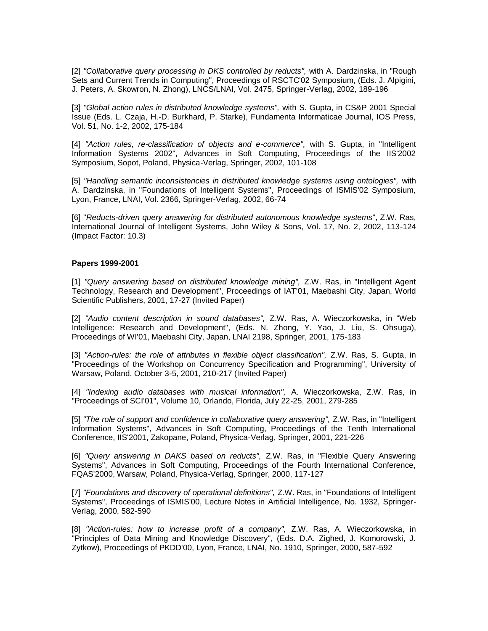[2] *"Collaborative query processing in DKS controlled by reducts",* with A. Dardzinska, in "Rough Sets and Current Trends in Computing", Proceedings of RSCTC'02 Symposium, (Eds. J. Alpigini, J. Peters, A. Skowron, N. Zhong), LNCS/LNAI, Vol. 2475, Springer-Verlag, 2002, 189-196

[3] *"Global action rules in distributed knowledge systems",* with S. Gupta, in CS&P 2001 Special Issue (Eds. L. Czaja, H.-D. Burkhard, P. Starke), Fundamenta Informaticae Journal, IOS Press, Vol. 51, No. 1-2, 2002, 175-184

[4] *"Action rules, re-classification of objects and e-commerce",* with S. Gupta, in "Intelligent Information Systems 2002", Advances in Soft Computing, Proceedings of the IIS'2002 Symposium, Sopot, Poland, Physica-Verlag, Springer, 2002, 101-108

[5] *"Handling semantic inconsistencies in distributed knowledge systems using ontologies",* with A. Dardzinska, in "Foundations of Intelligent Systems", Proceedings of ISMIS'02 Symposium, Lyon, France, LNAI, Vol. 2366, Springer-Verlag, 2002, 66-74

[6] "*Reducts-driven query answering for distributed autonomous knowledge systems*", Z.W. Ras, International Journal of Intelligent Systems, John Wiley & Sons, Vol. 17, No. 2, 2002, 113-124 (Impact Factor: 10.3)

#### **Papers 1999-2001**

[1] *"Query answering based on distributed knowledge mining",* Z.W. Ras, in "Intelligent Agent Technology, Research and Development", Proceedings of IAT'01, Maebashi City, Japan, World Scientific Publishers, 2001, 17-27 (Invited Paper)

[2] *"Audio content description in sound databases",* Z.W. Ras, A. Wieczorkowska, in "Web Intelligence: Research and Development", (Eds. N. Zhong, Y. Yao, J. Liu, S. Ohsuga), Proceedings of WI'01, Maebashi City, Japan, LNAI 2198, Springer, 2001, 175-183

[3] *"Action-rules: the role of attributes in flexible object classification",* Z.W. Ras, S. Gupta, in "Proceedings of the Workshop on Concurrency Specification and Programming", University of Warsaw, Poland, October 3-5, 2001, 210-217 (Invited Paper)

[4] *"Indexing audio databases with musical information",* A. Wieczorkowska, Z.W. Ras, in "Proceedings of SCI'01", Volume 10, Orlando, Florida, July 22-25, 2001, 279-285

[5] *"The role of support and confidence in collaborative query answering",* Z.W. Ras, in "Intelligent Information Systems", Advances in Soft Computing, Proceedings of the Tenth International Conference, IIS'2001, Zakopane, Poland, Physica-Verlag, Springer, 2001, 221-226

[6] *"Query answering in DAKS based on reducts",* Z.W. Ras, in "Flexible Query Answering Systems", Advances in Soft Computing, Proceedings of the Fourth International Conference, FQAS'2000, Warsaw, Poland, Physica-Verlag, Springer, 2000, 117-127

[7] *"Foundations and discovery of operational definitions",* Z.W. Ras, in "Foundations of Intelligent Systems", Proceedings of ISMIS'00, Lecture Notes in Artificial Intelligence, No. 1932, Springer-Verlag, 2000, 582-590

[8] *"Action-rules: how to increase profit of a company",* Z.W. Ras, A. Wieczorkowska, in "Principles of Data Mining and Knowledge Discovery", (Eds. D.A. Zighed, J. Komorowski, J. Zytkow), Proceedings of PKDD'00, Lyon, France, LNAI, No. 1910, Springer, 2000, 587-592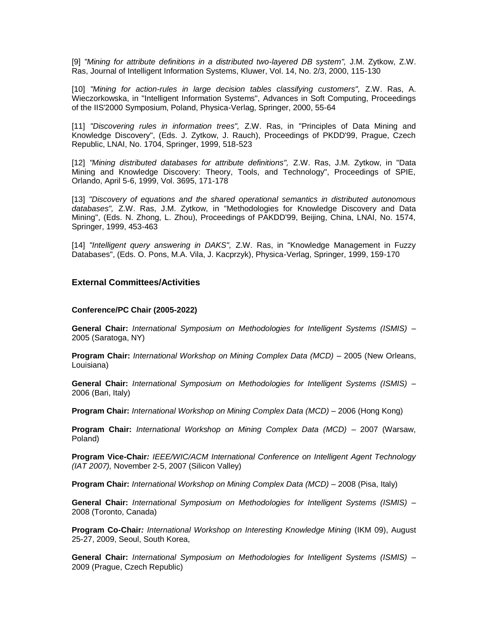[9] *"Mining for attribute definitions in a distributed two-layered DB system",* J.M. Zytkow, Z.W. Ras, Journal of Intelligent Information Systems, Kluwer, Vol. 14, No. 2/3, 2000, 115-130

[10] *"Mining for action-rules in large decision tables classifying customers",* Z.W. Ras, A. Wieczorkowska, in "Intelligent Information Systems", Advances in Soft Computing, Proceedings of the IIS'2000 Symposium, Poland, Physica-Verlag, Springer, 2000, 55-64

[11] *"Discovering rules in information trees",* Z.W. Ras, in "Principles of Data Mining and Knowledge Discovery", (Eds. J. Zytkow, J. Rauch), Proceedings of PKDD'99, Prague, Czech Republic, LNAI, No. 1704, Springer, 1999, 518-523

[12] *"Mining distributed databases for attribute definitions",* Z.W. Ras, J.M. Zytkow, in "Data Mining and Knowledge Discovery: Theory, Tools, and Technology", Proceedings of SPIE, Orlando, April 5-6, 1999, Vol. 3695, 171-178

[13] *"Discovery of equations and the shared operational semantics in distributed autonomous databases",* Z.W. Ras, J.M. Zytkow, in "Methodologies for Knowledge Discovery and Data Mining", (Eds. N. Zhong, L. Zhou), Proceedings of PAKDD'99, Beijing, China, LNAI, No. 1574, Springer, 1999, 453-463

[14] *"Intelligent query answering in DAKS",* Z.W. Ras, in "Knowledge Management in Fuzzy Databases", (Eds. O. Pons, M.A. Vila, J. Kacprzyk), Physica-Verlag, Springer, 1999, 159-170

# **External Committees/Activities**

#### **Conference/PC Chair (2005-2022)**

**General Chair:** *International Symposium on Methodologies for Intelligent Systems (ISMIS) –* 2005 (Saratoga, NY)

**Program Chair:** *International Workshop on Mining Complex Data (MCD) –* 2005 (New Orleans, Louisiana)

**General Chair:** *International Symposium on Methodologies for Intelligent Systems (ISMIS) –* 2006 (Bari, Italy)

**Program Chair:** *International Workshop on Mining Complex Data (MCD) –* 2006 (Hong Kong)

**Program Chair:** *International Workshop on Mining Complex Data (MCD) –* 2007 (Warsaw, Poland)

**Program Vice-Chair***: IEEE/WIC/ACM International Conference on Intelligent Agent Technology (IAT 2007),* November 2-5, 2007 (Silicon Valley)

**Program Chair:** *International Workshop on Mining Complex Data (MCD) –* 2008 (Pisa, Italy)

**General Chair:** *International Symposium on Methodologies for Intelligent Systems (ISMIS) –* 2008 (Toronto, Canada)

**Program Co-Chair***: International Workshop on Interesting Knowledge Mining* (IKM 09), August 25-27, 2009, Seoul, South Korea,

**General Chair:** *International Symposium on Methodologies for Intelligent Systems (ISMIS) –* 2009 (Prague, Czech Republic)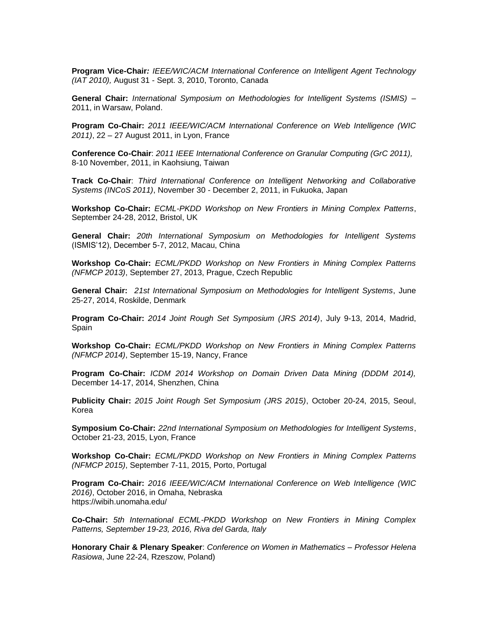**Program Vice-Chair***: IEEE/WIC/ACM International Conference on Intelligent Agent Technology (IAT 2010),* August 31 - Sept. 3, 2010, Toronto, Canada

**General Chair:** *International Symposium on Methodologies for Intelligent Systems (ISMIS) –* 2011, in Warsaw, Poland.

**Program Co-Chair:** *2011 IEEE/WIC/ACM International Conference on Web Intelligence (WIC 2011)*, 22 – 27 August 2011, in Lyon, France

**Conference Co-Chair**: *2011 IEEE International Conference on Granular Computing (GrC 2011),* 8-10 November, 2011, in Kaohsiung, Taiwan

**Track Co-Chair**: *Third International Conference on Intelligent Networking and Collaborative Systems (INCoS 2011)*, November 30 - December 2, 2011, in Fukuoka, Japan

**Workshop Co-Chair:** *ECML-PKDD Workshop on New Frontiers in Mining Complex Patterns*, September 24-28, 2012, Bristol, UK

**General Chair:** *20th International Symposium on Methodologies for Intelligent Systems*  (ISMIS'12), December 5-7, 2012, Macau, China

**Workshop Co-Chair:** *ECML/PKDD Workshop on New Frontiers in Mining Complex Patterns (NFMCP 2013)*, September 27, 2013, Prague, Czech Republic

**General Chair:** *21st International Symposium on Methodologies for Intelligent Systems*, June 25-27, 2014, Roskilde, Denmark

**Program Co-Chair:** *[2014 Joint Rough Set Symposium \(JRS 2014\)](http://vid.ctb.upm.es/jrs2014/)*, July 9-13, 2014, Madrid, Spain

**Workshop Co-Chair:** *[ECML/PKDD Workshop on New Frontiers in Mining Complex Patterns](http://www.di.uniba.it/~loglisci/NFmcp2014/)  [\(NFMCP 2014\)](http://www.di.uniba.it/~loglisci/NFmcp2014/)*, September 15-19, Nancy, France

**Program Co-Chair:** *[ICDM 2014 Workshop on Domain Driven Data Mining \(DDDM 2014\),](http://datamining.it.uts.edu.au/dddm/dddm14/)*  December 14-17, 2014, Shenzhen, China

**Publicity Chair:** *[2015 Joint Rough Set Symposium \(JRS 2015\)](http://cgac.chungbuk.ac.kr/jrs2015/)*, October 20-24, 2015, Seoul, Korea

**Symposium Co-Chair:** *[22nd International Symposium on Methodologies for Intelligent Systems](http://liris.cnrs.fr/ismis15/)*, October 21-23, 2015, Lyon, France

**Workshop Co-Chair:** *[ECML/PKDD Workshop on New Frontiers in Mining Complex Patterns](http://www.di.uniba.it/~loglisci/NFmcp2014/)  [\(NFMCP 2015\)](http://www.di.uniba.it/~loglisci/NFmcp2014/)*, September 7-11, 2015, Porto, Portugal

**Program Co-Chair:** *2016 IEEE/WIC/ACM International Conference on Web Intelligence (WIC 2016)*, October 2016, in Omaha, Nebraska https://wibih.unomaha.edu/

**Co-Chair:** *5th International ECML-PKDD Workshop on New Frontiers in Mining Complex Patterns, September 19-23, 2016, Riva del Garda, Italy*

**Honorary Chair & Plenary Speaker**: *Conference on Women in Mathematics – Professor Helena Rasiowa*, June 22-24, Rzeszow, Poland)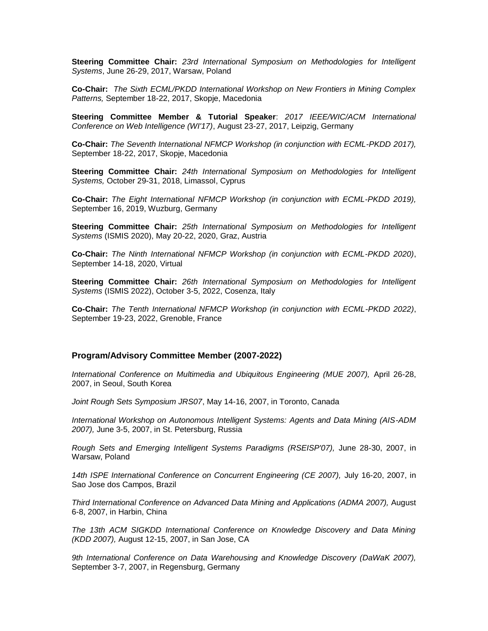**Steering Committee Chair:** *23rd International Symposium on Methodologies for Intelligent Systems*, June 26-29, 2017, Warsaw, Poland

**Co-Chair:** *The Sixth ECML/PKDD International Workshop on New Frontiers in Mining Complex Patterns,* September 18-22, 2017, Skopje, Macedonia

**Steering Committee Member & Tutorial Speaker**: *2017 IEEE/WIC/ACM International Conference on Web Intelligence (WI'17)*, August 23-27, 2017, Leipzig, Germany

**Co-Chair:** *The Seventh International NFMCP Workshop (in conjunction with ECML-PKDD 2017),* September 18-22, 2017, Skopje, Macedonia

**Steering Committee Chair:** *24th International Symposium on Methodologies for Intelligent Systems,* October 29-31, 2018, Limassol, Cyprus

**Co-Chair:** *The Eight International NFMCP Workshop (in conjunction with ECML-PKDD 2019),* September 16, 2019, Wuzburg, Germany

**Steering Committee Chair:** *25th International Symposium on Methodologies for Intelligent Systems* (ISMIS 2020), May 20-22, 2020, Graz, Austria

**Co-Chair:** *The Ninth International NFMCP Workshop (in conjunction with ECML-PKDD 2020)*, September 14-18, 2020, Virtual

**Steering Committee Chair:** *26th International Symposium on Methodologies for Intelligent Systems* (ISMIS 2022), October 3-5, 2022, Cosenza, Italy

**Co-Chair:** *The Tenth International NFMCP Workshop (in conjunction with ECML-PKDD 2022)*, September 19-23, 2022, Grenoble, France

## **Program/Advisory Committee Member (2007-2022)**

*International Conference on Multimedia and Ubiquitous Engineering (MUE 2007),* April 26-28, 2007, in Seoul, South Korea

*Joint Rough Sets Symposium JRS07*, May 14-16, 2007, in Toronto, Canada

*International Workshop on Autonomous Intelligent Systems: Agents and Data Mining (AIS-ADM 2007),* June 3-5, 2007, in St. Petersburg, Russia

*Rough Sets and Emerging Intelligent Systems Paradigms (RSEISP'07),* June 28-30, 2007, in Warsaw, Poland

*14th ISPE International Conference on Concurrent Engineering (CE 2007),* July 16-20, 2007, in Sao Jose dos Campos, Brazil

*Third International Conference on Advanced Data Mining and Applications (ADMA 2007),* August 6-8, 2007, in Harbin, China

*The 13th ACM SIGKDD International Conference on Knowledge Discovery and Data Mining (KDD 2007),* August 12-15, 2007, in San Jose, CA

*9th International Conference on Data Warehousing and Knowledge Discovery (DaWaK 2007),* September 3-7, 2007, in Regensburg, Germany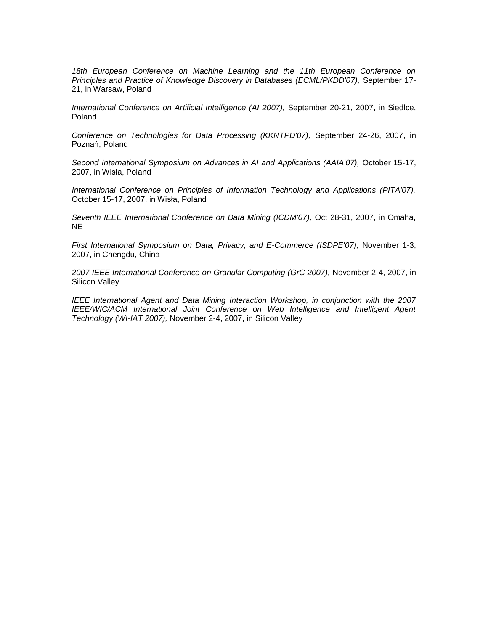18th European Conference on Machine Learning and the 11th European Conference on *Principles and Practice of Knowledge Discovery in Databases (ECML/PKDD'07),* September 17- 21, in Warsaw, Poland

*International Conference on Artificial Intelligence (AI 2007),* September 20-21, 2007, in Siedlce, Poland

*Conference on Technologies for Data Processing (KKNTPD'07),* September 24-26, 2007, in Poznań, Poland

*Second International Symposium on Advances in AI and Applications (AAIA'07),* October 15-17, 2007, in Wisła, Poland

*International Conference on Principles of Information Technology and Applications (PITA'07),* October 15-17, 2007, in Wisła, Poland

*Seventh IEEE International Conference on Data Mining (ICDM'07),* Oct 28-31, 2007, in Omaha, NE

*First International Symposium on Data, Privacy, and E-Commerce (ISDPE'07),* November 1-3, 2007, in Chengdu, China

*2007 IEEE International Conference on Granular Computing (GrC 2007),* November 2-4, 2007, in Silicon Valley

*IEEE International Agent and Data Mining Interaction Workshop, in conjunction with the 2007 IEEE/WIC/ACM International Joint Conference on Web Intelligence and Intelligent Agent Technology (WI-IAT 2007),* November 2-4, 2007, in Silicon Valley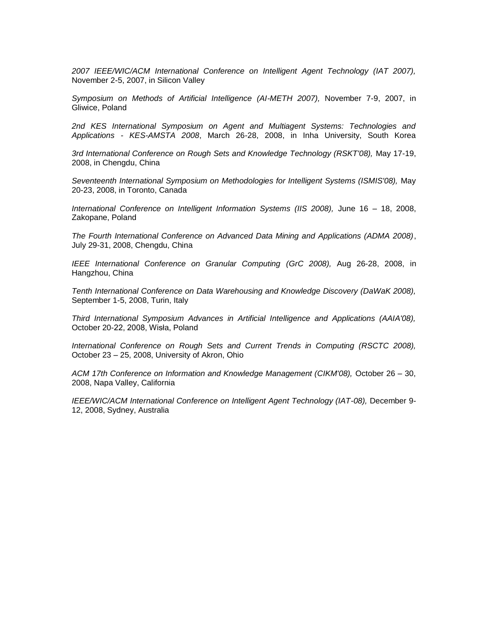*2007 IEEE/WIC/ACM International Conference on Intelligent Agent Technology (IAT 2007),* November 2-5, 2007, in Silicon Valley

*Symposium on Methods of Artificial Intelligence (AI-METH 2007),* November 7-9, 2007, in Gliwice, Poland

*2nd KES International Symposium on Agent and Multiagent Systems: Technologies and Applications - KES-AMSTA 2008*, March 26-28, 2008, in Inha University, South Korea

*3rd International Conference on Rough Sets and Knowledge Technology (RSKT'08),* May 17-19, 2008, in Chengdu, China

*Seventeenth International Symposium on Methodologies for Intelligent Systems (ISMIS'08),* May 20-23, 2008, in Toronto, Canada

*International Conference on Intelligent Information Systems (IIS 2008),* June 16 – 18, 2008, Zakopane, Poland

*The Fourth International Conference on Advanced Data Mining and Applications (ADMA 2008)*, July 29-31, 2008, Chengdu, China

*IEEE International Conference on Granular Computing (GrC 2008),* Aug 26-28, 2008, in Hangzhou, China

*Tenth International Conference on Data Warehousing and Knowledge Discovery (DaWaK 2008),* September 1-5, 2008, Turin, Italy

*Third International Symposium Advances in Artificial Intelligence and Applications (AAIA'08),*  October 20-22, 2008, Wisła, Poland

International Conference on Rough Sets and Current Trends in Computing (RSCTC 2008), October 23 – 25, 2008, University of Akron, Ohio

*ACM 17th Conference on Information and Knowledge Management (CIKM'08),* October 26 – 30, 2008, Napa Valley, California

*IEEE/WIC/ACM International Conference on Intelligent Agent Technology (IAT-08), December 9-*12, 2008, Sydney, Australia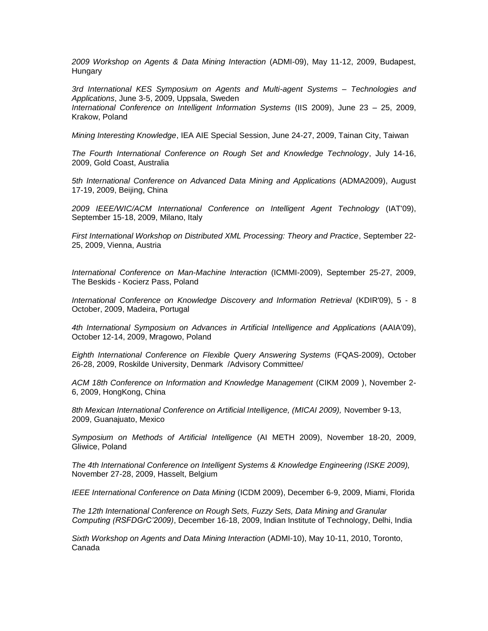*2009 Workshop on Agents & Data Mining Interaction* (ADMI-09), May 11-12, 2009, Budapest, **Hungary** 

*3rd International KES Symposium on Agents and Multi-agent Systems – Technologies and Applications*, June 3-5, 2009, Uppsala, Sweden *International Conference on Intelligent Information Systems* (IIS 2009), June 23 – 25, 2009, Krakow, Poland

*Mining Interesting Knowledge*, IEA AIE Special Session, June 24-27, 2009, Tainan City, Taiwan

*The Fourth International Conference on Rough Set and Knowledge Technology*, July 14-16, 2009, Gold Coast, Australia

*5th International Conference on Advanced Data Mining and Applications* (ADMA2009), August 17-19, 2009, Beijing, China

*2009 IEEE/WIC/ACM International Conference on Intelligent Agent Technology* (IAT'09), September 15-18, 2009, Milano, Italy

*First International Workshop on Distributed XML Processing: Theory and Practice*, September 22- 25, 2009, Vienna, Austria

*International Conference on Man-Machine Interaction* (ICMMI-2009), September 25-27, 2009, The Beskids - Kocierz Pass, Poland

*International Conference on Knowledge Discovery and Information Retrieval* (KDIR'09), 5 - 8 October, 2009, Madeira, Portugal

*4th International Symposium on Advances in Artificial Intelligence and Applications* (AAIA'09), October 12-14, 2009, Mragowo, Poland

*Eighth International Conference on Flexible Query Answering Systems* (FQAS-2009), October 26-28, 2009, Roskilde University, Denmark /Advisory Committee/

*ACM 18th Conference on Information and Knowledge Management* (CIKM 2009 ), November 2- 6, 2009, HongKong, China

*8th Mexican International Conference on Artificial Intelligence, (MICAI 2009),* November 9-13, 2009, Guanajuato, Mexico

*Symposium on Methods of Artificial Intelligence* (AI METH 2009), November 18-20, 2009, Gliwice, Poland

*The 4th International Conference on Intelligent Systems & Knowledge Engineering (ISKE 2009),* November 27-28, 2009, Hasselt, Belgium

*IEEE International Conference on Data Mining* (ICDM 2009), December 6-9, 2009, Miami, Florida

*The 12th International Conference on Rough Sets, Fuzzy Sets, Data Mining and Granular Computing (RSFDGrC'2009)*, December 16-18, 2009, Indian Institute of Technology, Delhi, India

*Sixth Workshop on Agents and Data Mining Interaction* (ADMI-10), May 10-11, 2010, Toronto, Canada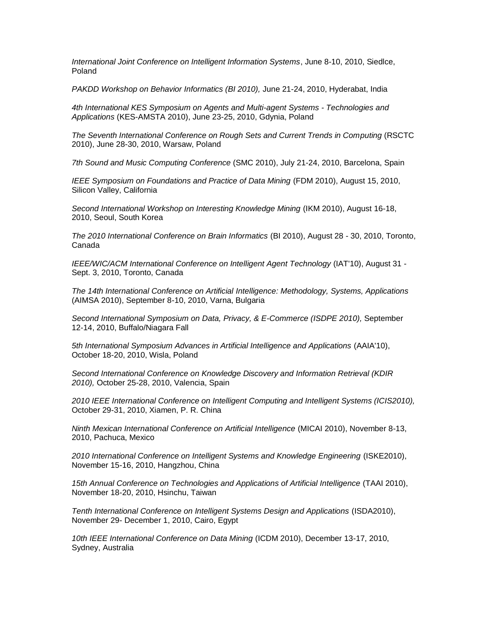*International Joint Conference on Intelligent Information Systems*, June 8-10, 2010, Siedlce, Poland

*PAKDD Workshop on Behavior Informatics (BI 2010),* June 21-24, 2010, Hyderabat, India

*4th International KES Symposium on Agents and Multi-agent Systems - Technologies and Applications* (KES-AMSTA 2010), June 23-25, 2010, Gdynia, Poland

*The Seventh International Conference on Rough Sets and Current Trends in Computing* (RSCTC 2010), June 28-30, 2010, Warsaw, Poland

*7th Sound and Music Computing Conference* (SMC 2010), July 21-24, 2010, Barcelona, Spain

*IEEE Symposium on Foundations and Practice of Data Mining* (FDM 2010), August 15, 2010, Silicon Valley, California

*Second International Workshop on Interesting Knowledge Mining* (IKM 2010), August 16-18, 2010, Seoul, South Korea

*The 2010 International Conference on Brain Informatics* (BI 2010), August 28 - 30, 2010, Toronto, Canada

*IEEE/WIC/ACM International Conference on Intelligent Agent Technology* (IAT'10), August 31 - Sept. 3, 2010, Toronto, Canada

*The 14th International Conference on Artificial Intelligence: Methodology, Systems, Applications* (AIMSA 2010), September 8-10, 2010, Varna, Bulgaria

*Second International Symposium on Data, Privacy, & E-Commerce (ISDPE 2010),* September 12-14, 2010, Buffalo/Niagara Fall

*5th International Symposium Advances in Artificial Intelligence and Applications* (AAIA'10), October 18-20, 2010, Wisla, Poland

*Second International Conference on Knowledge Discovery and Information Retrieval (KDIR 2010),* October 25-28, 2010, Valencia, Spain

*2010 IEEE International Conference on Intelligent Computing and Intelligent Systems (ICIS2010),* October 29-31, 2010, Xiamen, P. R. China

*Ninth Mexican International Conference on Artificial Intelligence* (MICAI 2010), November 8-13, 2010, Pachuca, Mexico

*2010 International Conference on Intelligent Systems and Knowledge Engineering* (ISKE2010), November 15-16, 2010, Hangzhou, China

*15th Annual Conference on Technologies and Applications of Artificial Intelligence* (TAAI 2010), November 18-20, 2010, Hsinchu, Taiwan

*Tenth International Conference on Intelligent Systems Design and Applications* (ISDA2010), November 29- December 1, 2010, Cairo, Egypt

*10th IEEE International Conference on Data Mining* (ICDM 2010), December 13-17, 2010, Sydney, Australia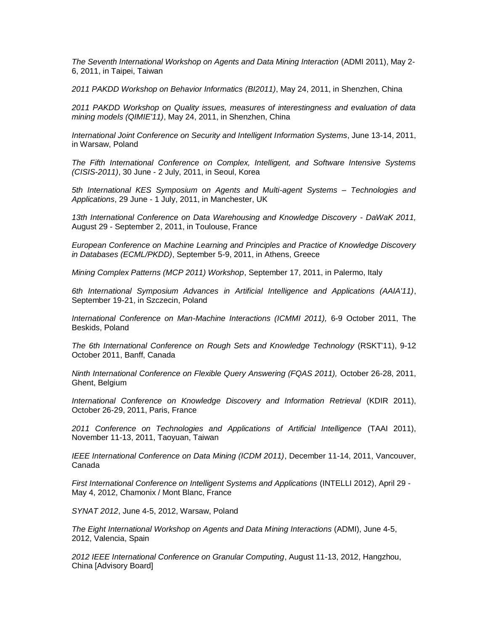*The Seventh International Workshop on Agents and Data Mining Interaction* (ADMI 2011), May 2- 6, 2011, in Taipei, Taiwan

*2011 PAKDD Workshop on Behavior Informatics (BI2011)*, May 24, 2011, in Shenzhen, China

*2011 PAKDD Workshop on Quality issues, measures of interestingness and evaluation of data mining models (QIMIE'11)*, May 24, 2011, in Shenzhen, China

*International Joint Conference on Security and Intelligent Information Systems*, June 13-14, 2011, in Warsaw, Poland

*The Fifth International Conference on Complex, Intelligent, and Software Intensive Systems (CISIS-2011)*, 30 June - 2 July, 2011, in Seoul, Korea

*5th International KES Symposium on Agents and Multi-agent Systems – Technologies and Applications*, 29 June - 1 July, 2011, in Manchester, UK

*13th International Conference on Data Warehousing and Knowledge Discovery - DaWaK 2011,* August 29 - September 2, 2011, in Toulouse, France

*European Conference on Machine Learning and Principles and Practice of Knowledge Discovery in Databases (ECML/PKDD)*, September 5-9, 2011, in Athens, Greece

*Mining Complex Patterns (MCP 2011) Workshop*, September 17, 2011, in Palermo, Italy

*6th International Symposium Advances in Artificial Intelligence and Applications (AAIA'11)*, September 19-21, in Szczecin, Poland

*International Conference on Man-Machine Interactions (ICMMI 2011),* 6-9 October 2011, The Beskids, Poland

*The 6th International Conference on Rough Sets and Knowledge Technology* (RSKT'11), 9-12 October 2011, Banff, Canada

*Ninth International Conference on Flexible Query Answering (FQAS 2011),* October 26-28, 2011, Ghent, Belgium

*International Conference on Knowledge Discovery and Information Retrieval (KDIR 2011),* October 26-29, 2011, Paris, France

*2011 Conference on Technologies and Applications of Artificial Intelligence* (TAAI 2011), November 11-13, 2011, Taoyuan, Taiwan

*IEEE International Conference on Data Mining (ICDM 2011)*, December 11-14, 2011, Vancouver, Canada

*First International Conference on Intelligent Systems and Applications* (INTELLI 2012), April 29 - May 4, 2012, Chamonix / Mont Blanc, France

*SYNAT 2012*, June 4-5, 2012, Warsaw, Poland

*The Eight International Workshop on Agents and Data Mining Interactions* (ADMI), June 4-5, 2012, Valencia, Spain

*2012 IEEE International Conference on Granular Computing*, August 11-13, 2012, Hangzhou, China [Advisory Board]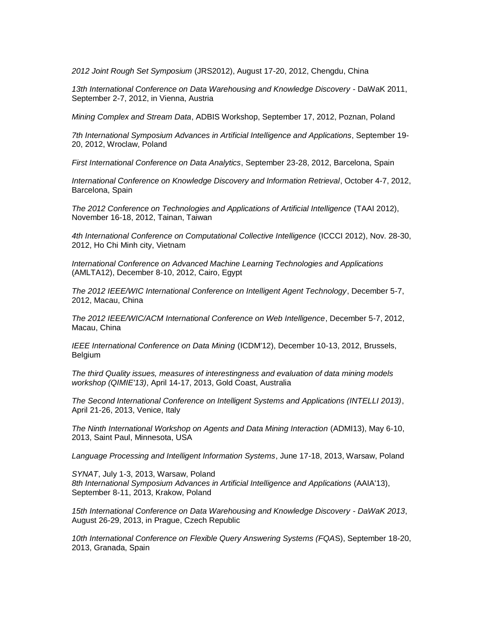*2012 Joint Rough Set Symposium* (JRS2012), August 17-20, 2012, Chengdu, China

*13th International Conference on Data Warehousing and Knowledge Discovery* - DaWaK 2011, September 2-7, 2012, in Vienna, Austria

*Mining Complex and Stream Data*, ADBIS Workshop, September 17, 2012, Poznan, Poland

*7th International Symposium Advances in Artificial Intelligence and Applications*, September 19- 20, 2012, Wroclaw, Poland

*First International Conference on Data Analytics*, September 23-28, 2012, Barcelona, Spain

*International Conference on Knowledge Discovery and Information Retrieval*, October 4-7, 2012, Barcelona, Spain

*The 2012 Conference on Technologies and Applications of Artificial Intelligence* (TAAI 2012), November 16-18, 2012, Tainan, Taiwan

*4th International Conference on Computational Collective Intelligence* (ICCCI 2012), Nov. 28-30, 2012, Ho Chi Minh city, Vietnam

*International Conference on Advanced Machine Learning Technologies and Applications* (AMLTA12), December 8-10, 2012, Cairo, Egypt

*The 2012 IEEE/WIC International Conference on Intelligent Agent Technology*, December 5-7, 2012, Macau, China

*The 2012 IEEE/WIC/ACM International Conference on Web Intelligence*, December 5-7, 2012, Macau, China

*IEEE International Conference on Data Mining* (ICDM'12), December 10-13, 2012, Brussels, Belgium

*The third Quality issues, measures of interestingness and evaluation of data mining models workshop (QIMIE'13)*, April 14-17, 2013, Gold Coast, Australia

*The Second International Conference on Intelligent Systems and Applications (INTELLI 2013)*, April 21-26, 2013, Venice, Italy

*The Ninth International Workshop on Agents and Data Mining Interaction* (ADMI13), May 6-10, 2013, Saint Paul, Minnesota, USA

*Language Processing and Intelligent Information Systems*, June 17-18, 2013, Warsaw, Poland

*SYNAT*, July 1-3, 2013, Warsaw, Poland *8th International Symposium Advances in Artificial Intelligence and Applications* (AAIA'13), September 8-11, 2013, Krakow, Poland

*15th International Conference on Data Warehousing and Knowledge Discovery - DaWaK 2013*, August 26-29, 2013, in Prague, Czech Republic

*10th International Conference on Flexible Query Answering Systems (FQA*S), September 18-20, 2013, Granada, Spain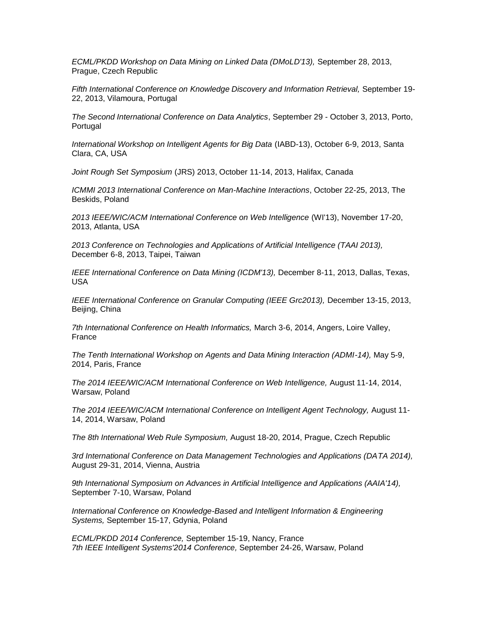*ECML/PKDD Workshop on Data Mining on Linked Data (DMoLD'13),* September 28, 2013, Prague, Czech Republic

*Fifth International Conference on Knowledge Discovery and Information Retrieval,* September 19- 22, 2013, Vilamoura, Portugal

*The Second International Conference on Data Analytics*, September 29 - October 3, 2013, Porto, Portugal

*International Workshop on Intelligent Agents for Big Data* (IABD-13), October 6-9, 2013, Santa Clara, CA, USA

*Joint Rough Set Symposium* (JRS) 2013, October 11-14, 2013, Halifax, Canada

*ICMMI 2013 International Conference on Man-Machine Interactions*, October 22-25, 2013, The Beskids, Poland

*2013 IEEE/WIC/ACM International Conference on Web Intelligence* (WI'13), November 17-20, 2013, Atlanta, USA

*2013 Conference on Technologies and Applications of Artificial Intelligence (TAAI 2013),*  December 6-8, 2013, Taipei, Taiwan

*IEEE International Conference on Data Mining (ICDM'13),* December 8-11, 2013, Dallas, Texas, USA

*IEEE International Conference on Granular Computing (IEEE Grc2013),* December 13-15, 2013, Beijing, China

*7th International Conference on Health Informatics,* March 3-6, 2014, Angers, Loire Valley, France

*The Tenth International Workshop on Agents and Data Mining Interaction (ADMI-14),* May 5-9, 2014, Paris, France

*The 2014 IEEE/WIC/ACM International Conference on Web Intelligence,* August 11-14, 2014, Warsaw, Poland

*The 2014 IEEE/WIC/ACM International Conference on Intelligent Agent Technology,* August 11- 14, 2014, Warsaw, Poland

*The 8th International Web Rule Symposium,* August 18-20, 2014, Prague, Czech Republic

3rd International Conference on Data Management Technologies and Applications (DATA 2014), August 29-31, 2014, Vienna, Austria

*9th International Symposium on Advances in Artificial Intelligence and Applications (AAIA'14),*  September 7-10, Warsaw, Poland

*International Conference on Knowledge-Based and Intelligent Information & Engineering Systems,* September 15-17, Gdynia, Poland

*ECML/PKDD 2014 Conference,* September 15-19, Nancy, France *7th IEEE Intelligent Systems'2014 Conference,* September 24-26, Warsaw, Poland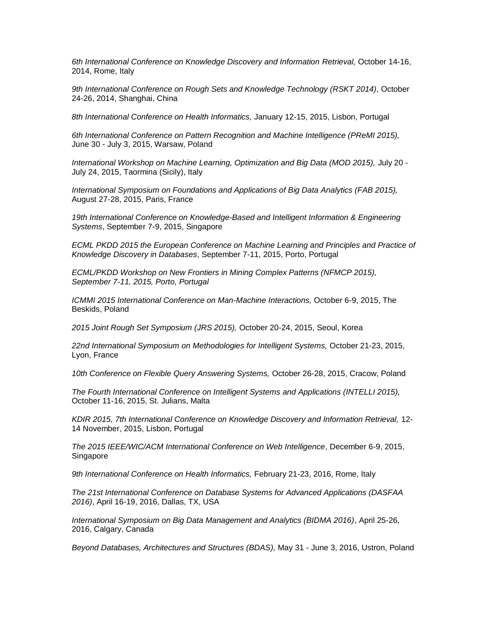*6th International Conference on Knowledge Discovery and Information Retrieval,* October 14-16, 2014, Rome, Italy

9th International Conference on Rough Sets and Knowledge Technology (RSKT 2014), October 24-26, 2014, Shanghai, China

*8th International Conference on Health Informatics,* January 12-15, 2015, Lisbon, Portugal

*6th International Conference on Pattern Recognition and Machine Intelligence (PReMI 2015),*  June 30 - July 3, 2015, Warsaw, Poland

*International Workshop on Machine Learning, Optimization and Big Data (MOD 2015),* July 20 - July 24, 2015, Taormina (Sicily), Italy

*International Symposium on Foundations and Applications of Big Data Analytics (FAB 2015),*  August 27-28, 2015, Paris, France

19th International Conference on Knowledge-Based and Intelligent Information & Engineering *Systems*, September 7-9, 2015, Singapore

*ECML PKDD 2015 the European Conference on Machine Learning and Principles and Practice of Knowledge Discovery in Databases*, September 7-11, 2015, Porto, Portugal

*ECML/PKDD Workshop on New Frontiers in Mining Complex Patterns (NFMCP 2015), September 7-11, 2015, Porto, Portugal* 

*ICMMI 2015 International Conference on Man-Machine Interactions,* October 6-9, 2015, The Beskids, Poland

*2015 Joint Rough Set Symposium (JRS 2015),* October 20-24, 2015, Seoul, Korea

*22nd International Symposium on Methodologies for Intelligent Systems,* October 21-23, 2015, Lyon, France

*10th Conference on Flexible Query Answering Systems,* October 26-28, 2015, Cracow, Poland

*The Fourth International Conference on Intelligent Systems and Applications (INTELLI 2015),* October 11-16, 2015, St. Julians, Malta

*KDIR 2015, 7th International Conference on Knowledge Discovery and Information Retrieval,* 12- 14 November, 2015, Lisbon, Portugal

*The 2015 IEEE/WIC/ACM International Conference on Web Intelligence*, December 6-9, 2015, Singapore

*9th International Conference on Health Informatics,* February 21-23, 2016, Rome, Italy

*The 21st International Conference on Database Systems for Advanced Applications (DASFAA 2016)*, April 16-19, 2016, Dallas, TX, USA

*International Symposium on Big Data Management and Analytics (BIDMA 2016)*, April 25-26, 2016, Calgary, Canada

*Beyond Databases, Architectures and Structures (BDAS),* May 31 - June 3, 2016, Ustron, Poland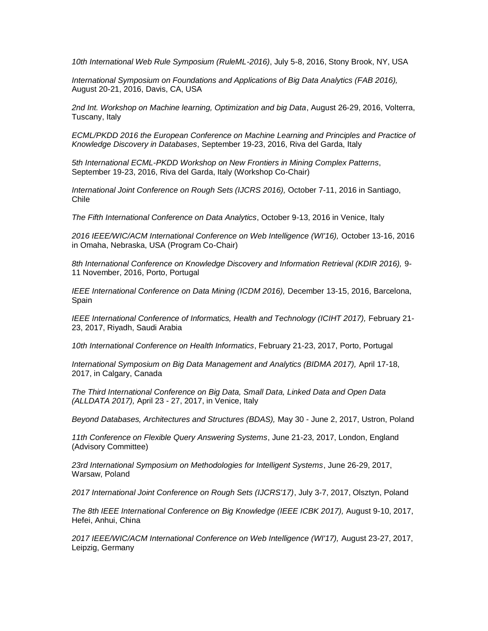*10th International Web Rule Symposium (RuleML-2016)*, July 5-8, 2016, Stony Brook, NY, USA

*International Symposium on Foundations and Applications of Big Data Analytics (FAB 2016),* August 20-21, 2016, Davis, CA, USA

*2nd Int. Workshop on Machine learning, Optimization and big Data*, August 26-29, 2016, Volterra, Tuscany, Italy

*ECML/PKDD 2016 the European Conference on Machine Learning and Principles and Practice of Knowledge Discovery in Databases*, September 19-23, 2016, Riva del Garda, Italy

*5th International ECML-PKDD Workshop on New Frontiers in Mining Complex Patterns*, September 19-23, 2016, Riva del Garda, Italy (Workshop Co-Chair)

*International Joint Conference on Rough Sets (IJCRS 2016),* October 7-11, 2016 in Santiago, Chile

*The Fifth International Conference on Data Analytics*, October 9-13, 2016 in Venice, Italy

*2016 IEEE/WIC/ACM International Conference on Web Intelligence (WI'16),* October 13-16, 2016 in Omaha, Nebraska, USA (Program Co-Chair)

*8th International Conference on Knowledge Discovery and Information Retrieval (KDIR 2016),* 9- 11 November, 2016, Porto, Portugal

*IEEE International Conference on Data Mining (ICDM 2016),* December 13-15, 2016, Barcelona, Spain

*IEEE International Conference of Informatics, Health and Technology (ICIHT 2017),* February 21- 23, 2017, Riyadh, Saudi Arabia

*10th International Conference on Health Informatics*, February 21-23, 2017, Porto, Portugal

*International Symposium on Big Data Management and Analytics (BIDMA 2017),* April 17-18, 2017, in Calgary, Canada

*The Third International Conference on Big Data, Small Data, Linked Data and Open Data (ALLDATA 2017),* April 23 - 27, 2017, in Venice, Italy

*Beyond Databases, Architectures and Structures (BDAS),* May 30 - June 2, 2017, Ustron, Poland

*11th Conference on Flexible Query Answering Systems*, June 21-23, 2017, London, England (Advisory Committee)

*23rd International Symposium on Methodologies for Intelligent Systems*, June 26-29, 2017, Warsaw, Poland

*2017 International Joint Conference on Rough Sets (IJCRS'17)*, July 3-7, 2017, Olsztyn, Poland

*The 8th IEEE International Conference on Big Knowledge (IEEE ICBK 2017),* August 9-10, 2017, Hefei, Anhui, China

*2017 IEEE/WIC/ACM International Conference on Web Intelligence (WI'17),* August 23-27, 2017, Leipzig, Germany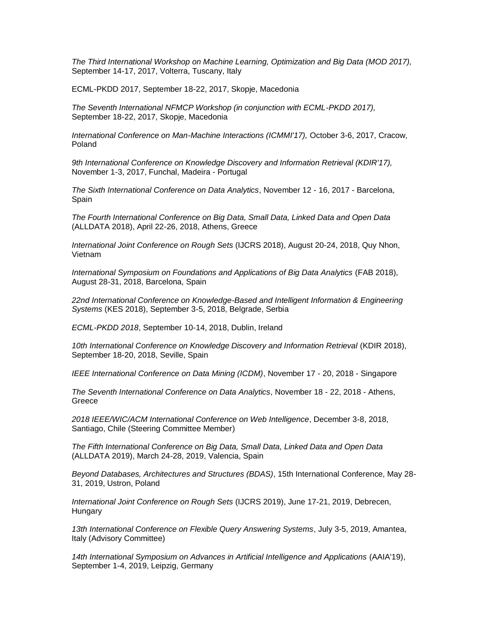*The Third International Workshop on Machine Learning, Optimization and Big Data (MOD 2017),* September 14-17, 2017, Volterra, Tuscany, Italy

ECML-PKDD 2017, September 18-22, 2017, Skopje, Macedonia

*The Seventh International NFMCP Workshop (in conjunction with ECML-PKDD 2017),* September 18-22, 2017, Skopje, Macedonia

*International Conference on Man-Machine Interactions (ICMMI'17),* October 3-6, 2017, Cracow, Poland

*9th International Conference on Knowledge Discovery and Information Retrieval (KDIR'17),* November 1-3, 2017, Funchal, Madeira - Portugal

*The Sixth International Conference on Data Analytics*, November 12 - 16, 2017 - Barcelona, Spain

*The Fourth International Conference on Big Data, Small Data, Linked Data and Open Data*  (ALLDATA 2018), April 22-26, 2018, Athens, Greece

*International Joint Conference on Rough Sets* (IJCRS 2018), August 20-24, 2018, Quy Nhon, Vietnam

*International Symposium on Foundations and Applications of Big Data Analytics* (FAB 2018), August 28-31, 2018, Barcelona, Spain

*22nd International Conference on Knowledge-Based and Intelligent Information & Engineering Systems* (KES 2018), September 3-5, 2018, Belgrade, Serbia

*ECML-PKDD 2018*, September 10-14, 2018, Dublin, Ireland

*10th International Conference on Knowledge Discovery and Information Retrieval* (KDIR 2018), September 18-20, 2018, Seville, Spain

*IEEE International Conference on Data Mining (ICDM)*, November 17 - 20, 2018 - Singapore

*The Seventh International Conference on Data Analytics*, November 18 - 22, 2018 - Athens, Greece

*2018 IEEE/WIC/ACM International Conference on Web Intelligence*, December 3-8, 2018, Santiago, Chile (Steering Committee Member)

*The Fifth International Conference on Big Data, Small Data, Linked Data and Open Data*  (ALLDATA 2019), March 24-28, 2019, Valencia, Spain

*Beyond Databases, Architectures and Structures (BDAS)*, 15th International Conference, May 28- 31, 2019, Ustron, Poland

*International Joint Conference on Rough Sets* (IJCRS 2019), June 17-21, 2019, Debrecen, **Hungary** 

*13th International Conference on Flexible Query Answering Systems*, July 3-5, 2019, Amantea, Italy (Advisory Committee)

*14th International Symposium on Advances in Artificial Intelligence and Applications* (AAIA'19), September 1-4, 2019, Leipzig, Germany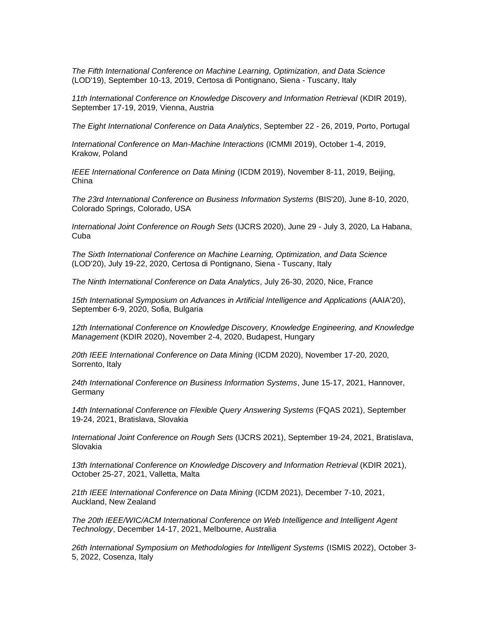*The Fifth International Conference on Machine Learning, Optimization, and Data Science*  (LOD'19), September 10-13, 2019, Certosa di Pontignano, Siena - Tuscany, Italy

11th International Conference on Knowledge Discovery and Information Retrieval (KDIR 2019), September 17-19, 2019, Vienna, Austria

*The Eight International Conference on Data Analytics*, September 22 - 26, 2019, Porto, Portugal

*International Conference on Man-Machine Interactions* (ICMMI 2019), October 1-4, 2019, Krakow, Poland

*IEEE International Conference on Data Mining* (ICDM 2019), November 8-11, 2019, Beijing, China

*The 23rd International Conference on Business Information Systems* (BIS'20), June 8-10, 2020, Colorado Springs, Colorado, USA

*International Joint Conference on Rough Sets* (IJCRS 2020), June 29 - July 3, 2020, La Habana, Cuba

*The Sixth International Conference on Machine Learning, Optimization, and Data Science*  (LOD'20), July 19-22, 2020, Certosa di Pontignano, Siena - Tuscany, Italy

*The Ninth International Conference on Data Analytics*, July 26-30, 2020, Nice, France

*15th International Symposium on Advances in Artificial Intelligence and Applications* (AAIA'20), September 6-9, 2020, Sofia, Bulgaria

*12th International Conference on Knowledge Discovery, Knowledge Engineering, and Knowledge Management* (KDIR 2020), November 2-4, 2020, Budapest, Hungary

*20th IEEE International Conference on Data Mining* (ICDM 2020), November 17-20, 2020, Sorrento, Italy

*24th International Conference on Business Information Systems*, June 15-17, 2021, Hannover, Germany

*14th International Conference on Flexible Query Answering Systems* (FQAS 2021), September 19-24, 2021, Bratislava, Slovakia

*International Joint Conference on Rough Sets* (IJCRS 2021), September 19-24, 2021, Bratislava, Slovakia

*13th International Conference on Knowledge Discovery and Information Retrieval* (KDIR 2021), October 25-27, 2021, Valletta, Malta

*21th IEEE International Conference on Data Mining* (ICDM 2021), December 7-10, 2021, Auckland, New Zealand

*The 20th IEEE/WIC/ACM International Conference on Web Intelligence and Intelligent Agent Technology*, December 14-17, 2021, Melbourne, Australia

*26th International Symposium on Methodologies for Intelligent Systems* (ISMIS 2022), October 3- 5, 2022, Cosenza, Italy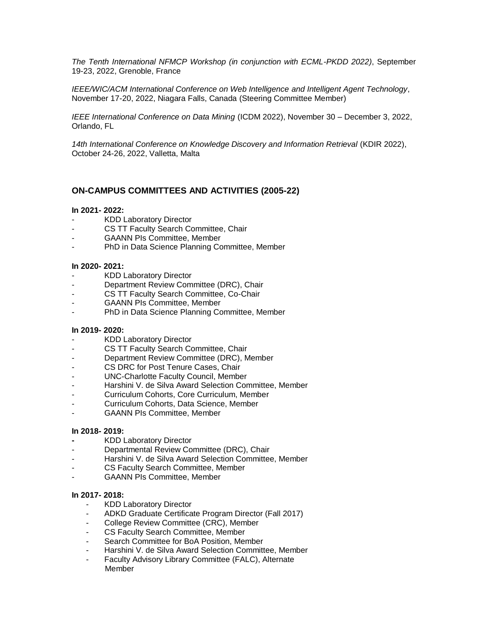*The Tenth International NFMCP Workshop (in conjunction with ECML-PKDD 2022)*, September 19-23, 2022, Grenoble, France

*IEEE/WIC/ACM International Conference on Web Intelligence and Intelligent Agent Technology*, November 17-20, 2022, Niagara Falls, Canada (Steering Committee Member)

*IEEE International Conference on Data Mining* (ICDM 2022), November 30 – December 3, 2022, Orlando, FL

*14th International Conference on Knowledge Discovery and Information Retrieval* (KDIR 2022), October 24-26, 2022, Valletta, Malta

# **ON-CAMPUS COMMITTEES AND ACTIVITIES (2005-22)**

#### **In 2021- 2022:**

- KDD Laboratory Director
- CS TT Faculty Search Committee, Chair
- GAANN PIs Committee, Member
- PhD in Data Science Planning Committee, Member

#### **In 2020- 2021:**

- KDD Laboratory Director
- Department Review Committee (DRC), Chair
- CS TT Faculty Search Committee, Co-Chair
- GAANN PIs Committee, Member
- PhD in Data Science Planning Committee, Member

## **In 2019- 2020:**

- KDD Laboratory Director
- CS TT Faculty Search Committee, Chair
- Department Review Committee (DRC), Member
- CS DRC for Post Tenure Cases, Chair
- UNC-Charlotte Faculty Council, Member
- Harshini V. de Silva Award Selection Committee, Member
- Curriculum Cohorts, Core Curriculum, Member
- Curriculum Cohorts, Data Science, Member
- GAANN PIs Committee, Member

## **In 2018- 2019:**

- **-** KDD Laboratory Director
- Departmental Review Committee (DRC), Chair
- Harshini V. de Silva Award Selection Committee, Member
- CS Faculty Search Committee, Member
- GAANN PIs Committee, Member

## **In 2017- 2018:**

- KDD Laboratory Director
- ADKD Graduate Certificate Program Director (Fall 2017)
- College Review Committee (CRC), Member
- CS Faculty Search Committee, Member
- Search Committee for BoA Position, Member
- Harshini V. de Silva Award Selection Committee, Member
- Faculty Advisory Library Committee (FALC), Alternate Member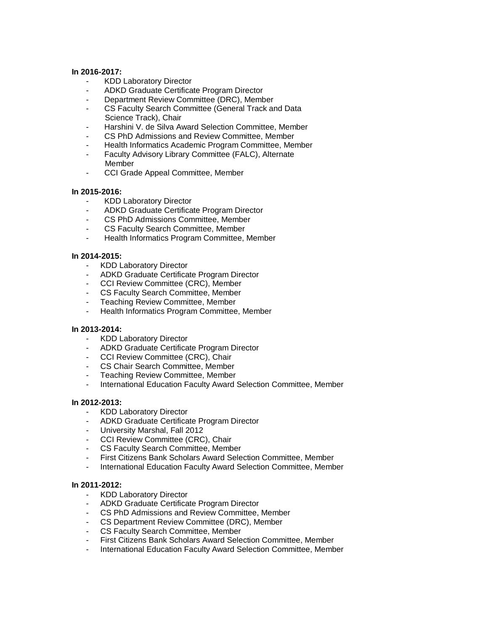### **In 2016-2017:**

- KDD Laboratory Director
- ADKD Graduate Certificate Program Director
- Department Review Committee (DRC), Member
- CS Faculty Search Committee (General Track and Data Science Track), Chair
- Harshini V. de Silva Award Selection Committee, Member
- CS PhD Admissions and Review Committee, Member
- Health Informatics Academic Program Committee, Member
- Faculty Advisory Library Committee (FALC), Alternate Member
- CCI Grade Appeal Committee, Member

#### **In 2015-2016:**

- KDD Laboratory Director
- ADKD Graduate Certificate Program Director
- CS PhD Admissions Committee, Member
- CS Faculty Search Committee, Member
- Health Informatics Program Committee, Member

#### **In 2014-2015:**

- KDD Laboratory Director
- ADKD Graduate Certificate Program Director
- CCI Review Committee (CRC), Member
- CS Faculty Search Committee, Member
- Teaching Review Committee, Member
- Health Informatics Program Committee, Member

#### **In 2013-2014:**

- KDD Laboratory Director
- ADKD Graduate Certificate Program Director
- CCI Review Committee (CRC), Chair
- CS Chair Search Committee, Member
- Teaching Review Committee, Member
- International Education Faculty Award Selection Committee, Member

### **In 2012-2013:**

- KDD Laboratory Director
- ADKD Graduate Certificate Program Director
- University Marshal, Fall 2012
- CCI Review Committee (CRC), Chair
- CS Faculty Search Committee, Member
- First Citizens Bank Scholars Award Selection Committee, Member
- International Education Faculty Award Selection Committee, Member

#### **In 2011-2012:**

- KDD Laboratory Director
- ADKD Graduate Certificate Program Director
- CS PhD Admissions and Review Committee, Member
- CS Department Review Committee (DRC), Member
- CS Faculty Search Committee, Member
- First Citizens Bank Scholars Award Selection Committee, Member
- International Education Faculty Award Selection Committee, Member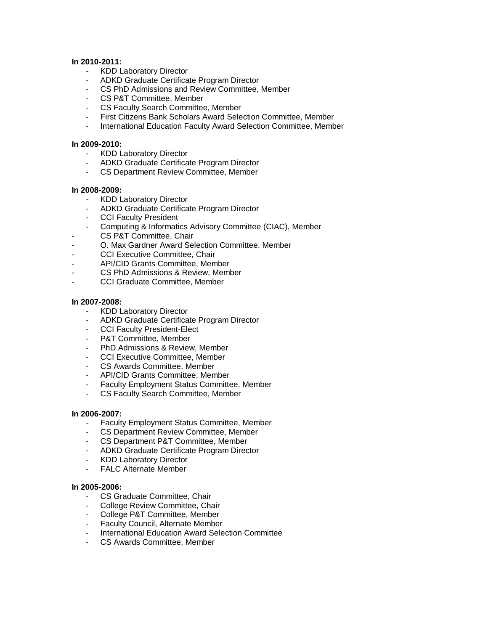## **In 2010-2011:**

- KDD Laboratory Director
- ADKD Graduate Certificate Program Director
- CS PhD Admissions and Review Committee, Member
- CS P&T Committee, Member
- CS Faculty Search Committee, Member<br>- First Citizens Bank Scholars Award Sele
- First Citizens Bank Scholars Award Selection Committee, Member
- International Education Faculty Award Selection Committee, Member

## **In 2009-2010:**

- KDD Laboratory Director
- ADKD Graduate Certificate Program Director
- CS Department Review Committee, Member

### **In 2008-2009:**

- KDD Laboratory Director
- ADKD Graduate Certificate Program Director
- CCI Faculty President
- Computing & Informatics Advisory Committee (CIAC), Member
- CS P&T Committee, Chair
- O. Max Gardner Award Selection Committee, Member
- CCI Executive Committee, Chair
- API/CID Grants Committee, Member
- CS PhD Admissions & Review, Member
- CCI Graduate Committee, Member

## **In 2007-2008:**

- KDD Laboratory Director
- ADKD Graduate Certificate Program Director
- CCI Faculty President-Elect
- P&T Committee, Member
- PhD Admissions & Review, Member
- CCI Executive Committee, Member
- CS Awards Committee, Member
- API/CID Grants Committee, Member
- Faculty Employment Status Committee, Member
- CS Faculty Search Committee, Member

## **In 2006-2007:**

- Faculty Employment Status Committee, Member
- CS Department Review Committee, Member
- CS Department P&T Committee, Member
- ADKD Graduate Certificate Program Director
- KDD Laboratory Director
- FALC Alternate Member

#### **In 2005-2006:**

- CS Graduate Committee, Chair
- College Review Committee, Chair
- College P&T Committee, Member
- Faculty Council, Alternate Member
- International Education Award Selection Committee
- CS Awards Committee, Member